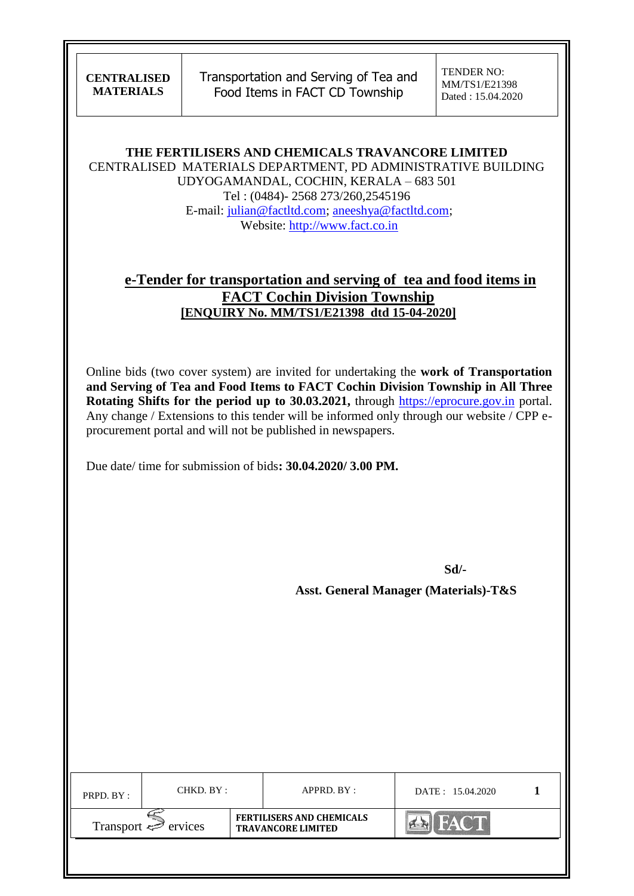Transportation and Serving of Tea and Food Items in FACT CD Township

TENDER NO: MM/TS1/E21398 Dated : 15.04.2020

**THE FERTILISERS AND CHEMICALS TRAVANCORE LIMITED** CENTRALISED MATERIALS DEPARTMENT, PD ADMINISTRATIVE BUILDING UDYOGAMANDAL, COCHIN, KERALA – 683 501 Tel : (0484)- 2568 273/260,2545196 E-mail: [julian@factltd.com;](mailto:julian@factltd.com) [aneeshya@factltd.com;](mailto:aneeshya@factltd.com) Website: [http://www.fact.co.in](http://www.fact.co.in/)

# **e-Tender for transportation and serving of tea and food items in FACT Cochin Division Township [ENQUIRY No. MM/TS1/E21398 dtd 15-04-2020]**

Online bids (two cover system) are invited for undertaking the **work of Transportation and Serving of Tea and Food Items to FACT Cochin Division Township in All Three Rotating Shifts for the period up to 30.03.2021,** through [https://eprocure.gov.in](https://eprocure.gov.in/) portal. Any change / Extensions to this tender will be informed only through our website / CPP eprocurement portal and will not be published in newspapers.

Due date/ time for submission of bids**: 30.04.2020/ 3.00 PM.**

**Sd/-**

 **Asst. General Manager (Materials)-T&S**

| PRPD. BY: | CHKD. BY :                          |  | APPRD. BY:                                                    | DATE: 15.04.2020 |  |
|-----------|-------------------------------------|--|---------------------------------------------------------------|------------------|--|
|           | Transport $\Leftrightarrow$ ervices |  | <b>FERTILISERS AND CHEMICALS</b><br><b>TRAVANCORE LIMITED</b> |                  |  |
|           |                                     |  |                                                               |                  |  |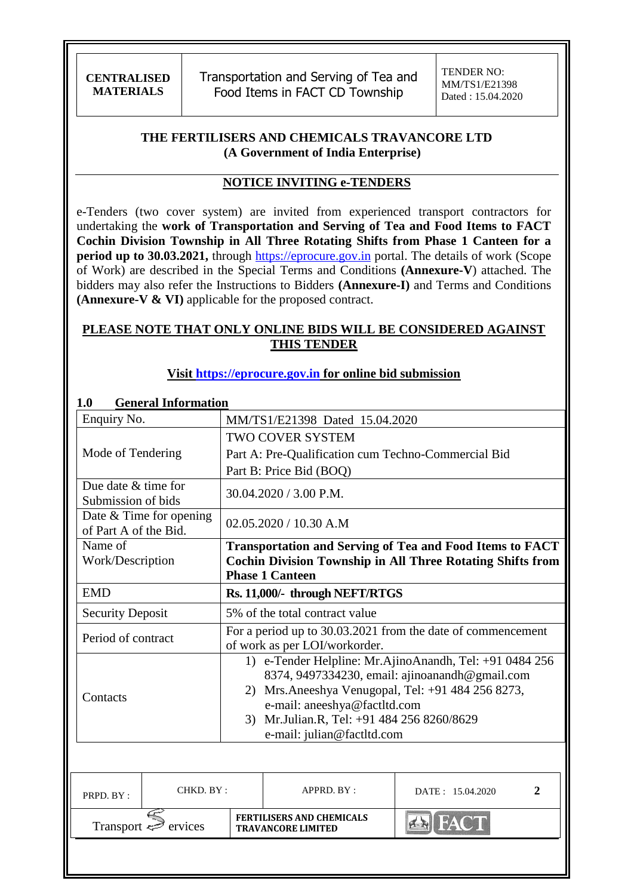Transportation and Serving of Tea and Food Items in FACT CD Township

### **THE FERTILISERS AND CHEMICALS TRAVANCORE LTD (A Government of India Enterprise)**

#### **NOTICE INVITING e-TENDERS**

e-Tenders (two cover system) are invited from experienced transport contractors for undertaking the **work of Transportation and Serving of Tea and Food Items to FACT Cochin Division Township in All Three Rotating Shifts from Phase 1 Canteen for a period up to 30.03.2021,** through [https://eprocure.gov.in](https://eprocure.gov.in/) portal. The details of work (Scope of Work) are described in the Special Terms and Conditions **(Annexure-V**) attached. The bidders may also refer the Instructions to Bidders **(Annexure-I)** and Terms and Conditions **(Annexure-V & VI)** applicable for the proposed contract.

#### **PLEASE NOTE THAT ONLY ONLINE BIDS WILL BE CONSIDERED AGAINST THIS TENDER**

### **Visit [https://eprocure.gov.in](https://eprocure.gov.in/) for online bid submission**

| <b>General Information</b><br>1.0         |                           |                                                                                              |                                                               |                                                                                                           |  |
|-------------------------------------------|---------------------------|----------------------------------------------------------------------------------------------|---------------------------------------------------------------|-----------------------------------------------------------------------------------------------------------|--|
| Enquiry No.                               |                           |                                                                                              | MM/TS1/E21398 Dated 15.04.2020                                |                                                                                                           |  |
|                                           |                           | <b>TWO COVER SYSTEM</b>                                                                      |                                                               |                                                                                                           |  |
| Mode of Tendering                         |                           |                                                                                              | Part A: Pre-Qualification cum Techno-Commercial Bid           |                                                                                                           |  |
|                                           |                           |                                                                                              | Part B: Price Bid (BOQ)                                       |                                                                                                           |  |
| Due date & time for<br>Submission of bids |                           |                                                                                              | $30.04.2020 / 3.00$ P.M.                                      |                                                                                                           |  |
| of Part A of the Bid.                     | Date $&$ Time for opening |                                                                                              | $02.05.2020 / 10.30$ A.M                                      |                                                                                                           |  |
| Name of                                   |                           |                                                                                              |                                                               | <b>Transportation and Serving of Tea and Food Items to FACT</b>                                           |  |
| Work/Description                          |                           |                                                                                              | <b>Phase 1 Canteen</b>                                        | <b>Cochin Division Township in All Three Rotating Shifts from</b>                                         |  |
| <b>EMD</b>                                |                           | Rs. 11,000/- through NEFT/RTGS                                                               |                                                               |                                                                                                           |  |
| <b>Security Deposit</b>                   |                           | 5% of the total contract value                                                               |                                                               |                                                                                                           |  |
| Period of contract                        |                           | For a period up to 30.03.2021 from the date of commencement<br>of work as per LOI/workorder. |                                                               |                                                                                                           |  |
|                                           |                           |                                                                                              |                                                               | 1) e-Tender Helpline: Mr.AjinoAnandh, Tel: +91 0484 256<br>8374, 9497334230, email: ajinoanandh@gmail.com |  |
| Contacts                                  |                           | Mrs. Aneeshya Venugopal, Tel: +91 484 256 8273,<br>2)<br>e-mail: aneeshya@factltd.com        |                                                               |                                                                                                           |  |
|                                           |                           | 3) Mr.Julian.R, Tel: +91 484 256 8260/8629                                                   |                                                               |                                                                                                           |  |
|                                           |                           | e-mail: julian@factltd.com                                                                   |                                                               |                                                                                                           |  |
|                                           |                           |                                                                                              |                                                               |                                                                                                           |  |
| PRPD. BY:                                 | CHKD. BY:                 |                                                                                              | APPRD. BY:                                                    | $\overline{2}$<br>DATE: 15.04.2020                                                                        |  |
|                                           | Transport $\iff$ ervices  |                                                                                              | <b>FERTILISERS AND CHEMICALS</b><br><b>TRAVANCORE LIMITED</b> | <b>BIFACT</b>                                                                                             |  |
|                                           |                           |                                                                                              |                                                               |                                                                                                           |  |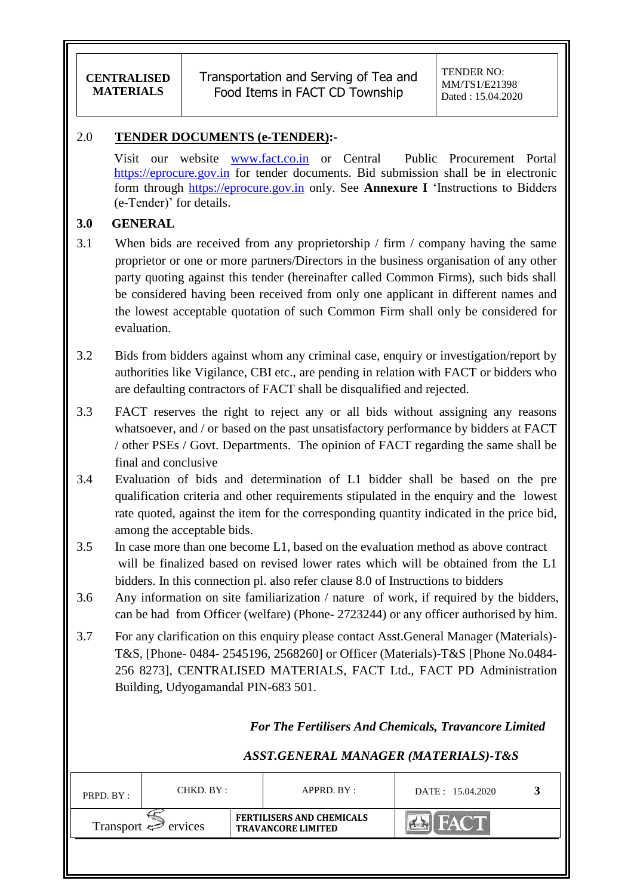### 2.0 **TENDER DOCUMENTS (e-TENDER):-**

Visit our website [www.fact.co.in](http://www.fact.co.in/) or Central Public Procurement Portal [https://eprocure.gov.in](https://eprocure.gov.in/) for tender documents. Bid submission shall be in electronic form through [https://eprocure.gov.in](https://eprocure.gov.in/) only. See **Annexure I** "Instructions to Bidders (e-Tender)" for details.

### **3.0 GENERAL**

- 3.1 When bids are received from any proprietorship / firm / company having the same proprietor or one or more partners/Directors in the business organisation of any other party quoting against this tender (hereinafter called Common Firms), such bids shall be considered having been received from only one applicant in different names and the lowest acceptable quotation of such Common Firm shall only be considered for evaluation.
- 3.2 Bids from bidders against whom any criminal case, enquiry or investigation/report by authorities like Vigilance, CBI etc., are pending in relation with FACT or bidders who are defaulting contractors of FACT shall be disqualified and rejected.
- 3.3 FACT reserves the right to reject any or all bids without assigning any reasons whatsoever, and / or based on the past unsatisfactory performance by bidders at FACT / other PSEs / Govt. Departments. The opinion of FACT regarding the same shall be final and conclusive
- 3.4 Evaluation of bids and determination of L1 bidder shall be based on the pre qualification criteria and other requirements stipulated in the enquiry and the lowest rate quoted, against the item for the corresponding quantity indicated in the price bid, among the acceptable bids.
- 3.5 In case more than one become L1, based on the evaluation method as above contract will be finalized based on revised lower rates which will be obtained from the L1 bidders. In this connection pl. also refer clause 8.0 of Instructions to bidders
- 3.6 Any information on site familiarization / nature of work, if required by the bidders, can be had from Officer (welfare) (Phone- 2723244) or any officer authorised by him.
- 3.7 For any clarification on this enquiry please contact Asst.General Manager (Materials)- T&S, [Phone- 0484- 2545196, 2568260] or Officer (Materials)-T&S [Phone No.0484- 256 8273], CENTRALISED MATERIALS, FACT Ltd., FACT PD Administration Building, Udyogamandal PIN-683 501.

## *For The Fertilisers And Chemicals, Travancore Limited*

## *ASST.GENERAL MANAGER (MATERIALS)-T&S*

| PRPD. BY:                | CHKD. BY : |  | APPRD. BY:                                                    | DATE: 15.04.2020 |  |
|--------------------------|------------|--|---------------------------------------------------------------|------------------|--|
| Transport $\iff$ ervices |            |  | <b>FERTILISERS AND CHEMICALS</b><br><b>TRAVANCORE LIMITED</b> | ACT              |  |
|                          |            |  |                                                               |                  |  |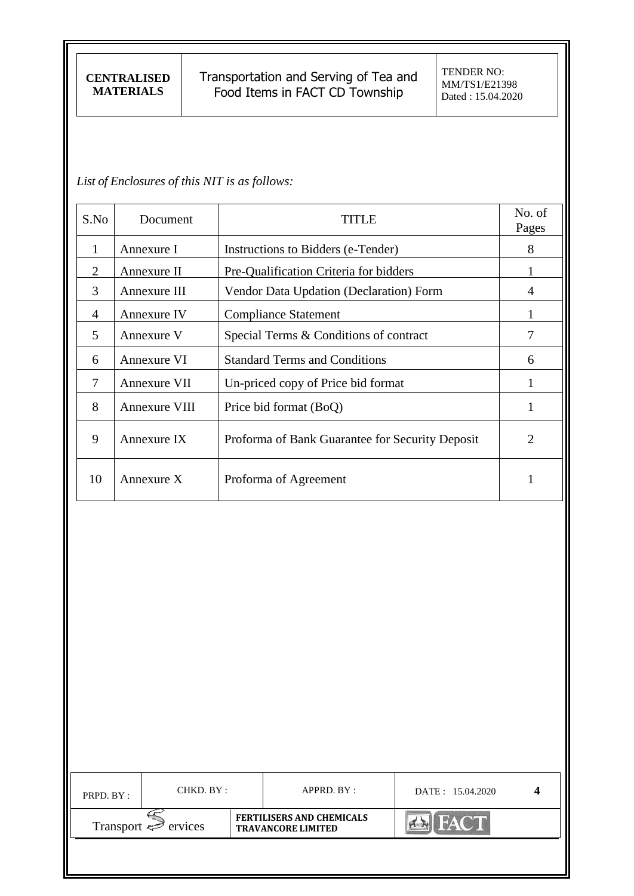Transportation and Serving of Tea and Food Items in FACT CD Township

*List of Enclosures of this NIT is as follows:*

| S.No                  | Document      | TITLE                                           | No. of<br>Pages |
|-----------------------|---------------|-------------------------------------------------|-----------------|
| 1                     | Annexure I    | Instructions to Bidders (e-Tender)              | 8               |
| $\mathcal{D}_{\cdot}$ | Annexure II   | Pre-Qualification Criteria for bidders          |                 |
| 3                     | Annexure III  | Vendor Data Updation (Declaration) Form         | 4               |
| $\overline{A}$        | Annexure IV   | <b>Compliance Statement</b>                     |                 |
| 5                     | Annexure V    | Special Terms & Conditions of contract          |                 |
| 6                     | Annexure VI   | <b>Standard Terms and Conditions</b>            | 6               |
| 7                     | Annexure VII  | Un-priced copy of Price bid format              | 1               |
| 8                     | Annexure VIII | Price bid format (BoQ)                          | 1               |
| 9                     | Annexure IX   | Proforma of Bank Guarantee for Security Deposit | $\overline{2}$  |
| 10                    | Annexure $X$  | Proforma of Agreement                           | 1               |

| PRPD. BY:                | CHKD. BY : |                                                               | $APPRD$ . $BY$ : | DATE: 15.04.2020 |  |
|--------------------------|------------|---------------------------------------------------------------|------------------|------------------|--|
| Transport $\iff$ ervices |            | <b>FERTILISERS AND CHEMICALS</b><br><b>TRAVANCORE LIMITED</b> |                  | <b>FACT</b>      |  |
|                          |            |                                                               |                  |                  |  |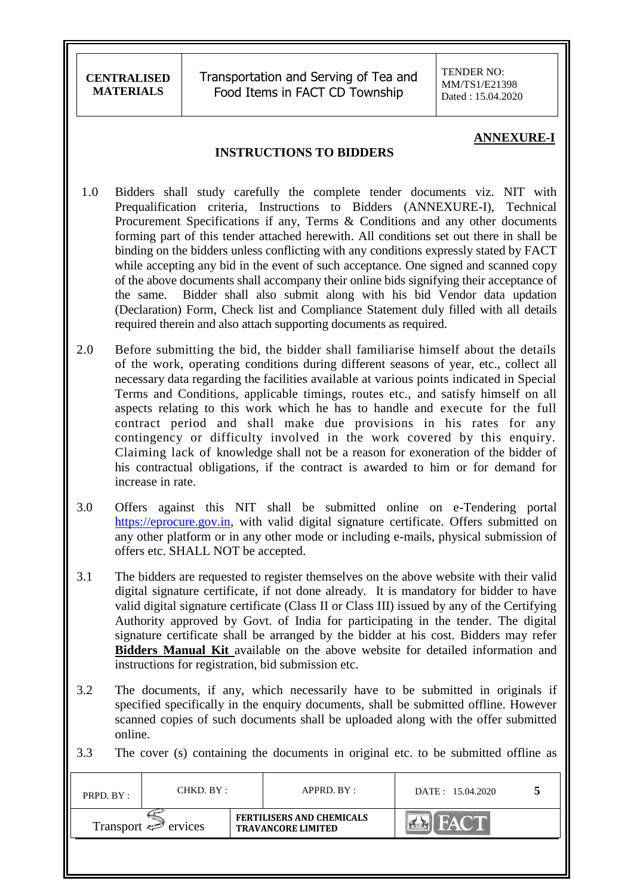Transportation and Serving of Tea and Food Items in FACT CD Township

TENDER NO: MM/TS1/E21398 Dated : 15.04.2020

#### **ANNEXURE-I**

### **INSTRUCTIONS TO BIDDERS**

- 1.0 Bidders shall study carefully the complete tender documents viz. NIT with Prequalification criteria, Instructions to Bidders (ANNEXURE-I), Technical Procurement Specifications if any, Terms & Conditions and any other documents forming part of this tender attached herewith. All conditions set out there in shall be binding on the bidders unless conflicting with any conditions expressly stated by FACT while accepting any bid in the event of such acceptance. One signed and scanned copy of the above documents shall accompany their online bids signifying their acceptance of the same. Bidder shall also submit along with his bid Vendor data updation (Declaration) Form, Check list and Compliance Statement duly filled with all details required therein and also attach supporting documents as required.
- 2.0 Before submitting the bid, the bidder shall familiarise himself about the details of the work, operating conditions during different seasons of year, etc., collect all necessary data regarding the facilities available at various points indicated in Special Terms and Conditions, applicable timings, routes etc., and satisfy himself on all aspects relating to this work which he has to handle and execute for the full contract period and shall make due provisions in his rates for any contingency or difficulty involved in the work covered by this enquiry. Claiming lack of knowledge shall not be a reason for exoneration of the bidder of his contractual obligations, if the contract is awarded to him or for demand for increase in rate.
- 3.0 Offers against this NIT shall be submitted online on e-Tendering portal [https://eprocure.gov.in,](https://eprocure.gov.in/) with valid digital signature certificate. Offers submitted on any other platform or in any other mode or including e-mails, physical submission of offers etc. SHALL NOT be accepted.
- 3.1 The bidders are requested to register themselves on the above website with their valid digital signature certificate, if not done already. It is mandatory for bidder to have valid digital signature certificate (Class II or Class III) issued by any of the Certifying Authority approved by Govt. of India for participating in the tender. The digital signature certificate shall be arranged by the bidder at his cost. Bidders may refer **Bidders Manual Kit** available on the above website for detailed information and instructions for registration, bid submission etc.
- 3.2 The documents, if any, which necessarily have to be submitted in originals if specified specifically in the enquiry documents, shall be submitted offline. However scanned copies of such documents shall be uploaded along with the offer submitted online.
- 3.3 The cover (s) containing the documents in original etc. to be submitted offline as

| PRPD. BY:                      | CHKD. BY: |  | APPRD. BY:                                                    | DATE: 15.04.2020 |  |
|--------------------------------|-----------|--|---------------------------------------------------------------|------------------|--|
| Transport $\Leftarrow$ ervices |           |  | <b>FERTILISERS AND CHEMICALS</b><br><b>TRAVANCORE LIMITED</b> |                  |  |
|                                |           |  |                                                               |                  |  |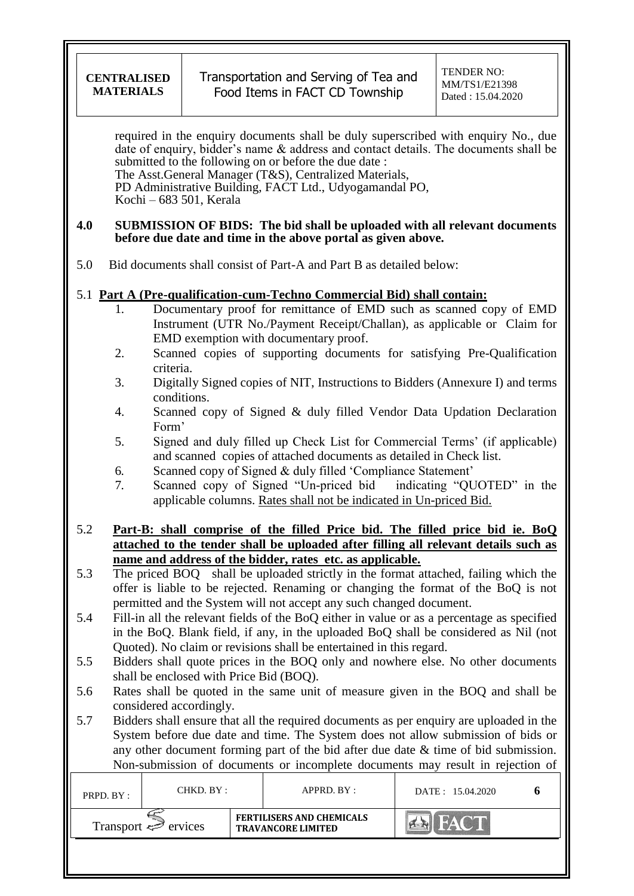required in the enquiry documents shall be duly superscribed with enquiry No., due date of enquiry, bidder"s name & address and contact details. The documents shall be submitted to the following on or before the due date : The Asst.General Manager (T&S), Centralized Materials, PD Administrative Building, FACT Ltd., Udyogamandal PO, Kochi – 683 501, Kerala

#### **4.0 SUBMISSION OF BIDS: The bid shall be uploaded with all relevant documents before due date and time in the above portal as given above.**

5.0 Bid documents shall consist of Part-A and Part B as detailed below:

### 5.1 **Part A (Pre-qualification-cum-Techno Commercial Bid) shall contain:**

- 1. Documentary proof for remittance of EMD such as scanned copy of EMD Instrument (UTR No./Payment Receipt/Challan), as applicable or Claim for EMD exemption with documentary proof.
- 2. Scanned copies of supporting documents for satisfying Pre-Qualification criteria.
- 3. Digitally Signed copies of NIT, Instructions to Bidders (Annexure I) and terms conditions.
- 4. Scanned copy of Signed & duly filled Vendor Data Updation Declaration Form"
- 5. Signed and duly filled up Check List for Commercial Terms" (if applicable) and scanned copies of attached documents as detailed in Check list.
- 6. Scanned copy of Signed & duly filled "Compliance Statement"
- 7. Scanned copy of Signed "Un-priced bid indicating "QUOTED" in the applicable columns. Rates shall not be indicated in Un-priced Bid.
- 5.2 **Part-B: shall comprise of the filled Price bid. The filled price bid ie. BoQ attached to the tender shall be uploaded after filling all relevant details such as name and address of the bidder, rates etc. as applicable.**
- 5.3 The priced BOQ shall be uploaded strictly in the format attached, failing which the offer is liable to be rejected. Renaming or changing the format of the BoQ is not permitted and the System will not accept any such changed document.
- 5.4 Fill-in all the relevant fields of the BoQ either in value or as a percentage as specified in the BoQ. Blank field, if any, in the uploaded BoQ shall be considered as Nil (not Quoted). No claim or revisions shall be entertained in this regard.
- 5.5 Bidders shall quote prices in the BOQ only and nowhere else. No other documents shall be enclosed with Price Bid (BOQ).
- 5.6 Rates shall be quoted in the same unit of measure given in the BOQ and shall be considered accordingly.
- 5.7 Bidders shall ensure that all the required documents as per enquiry are uploaded in the System before due date and time. The System does not allow submission of bids or any other document forming part of the bid after due date & time of bid submission. Non-submission of documents or incomplete documents may result in rejection of

| PRPD. BY:                | CHKD. BY: |  | $APPRD$ . $BY:$                                               | DATE: 15.04.2020 |  |
|--------------------------|-----------|--|---------------------------------------------------------------|------------------|--|
| Transport $\iff$ ervices |           |  | <b>FERTILISERS AND CHEMICALS</b><br><b>TRAVANCORE LIMITED</b> | <b>NAV</b>       |  |
|                          |           |  |                                                               |                  |  |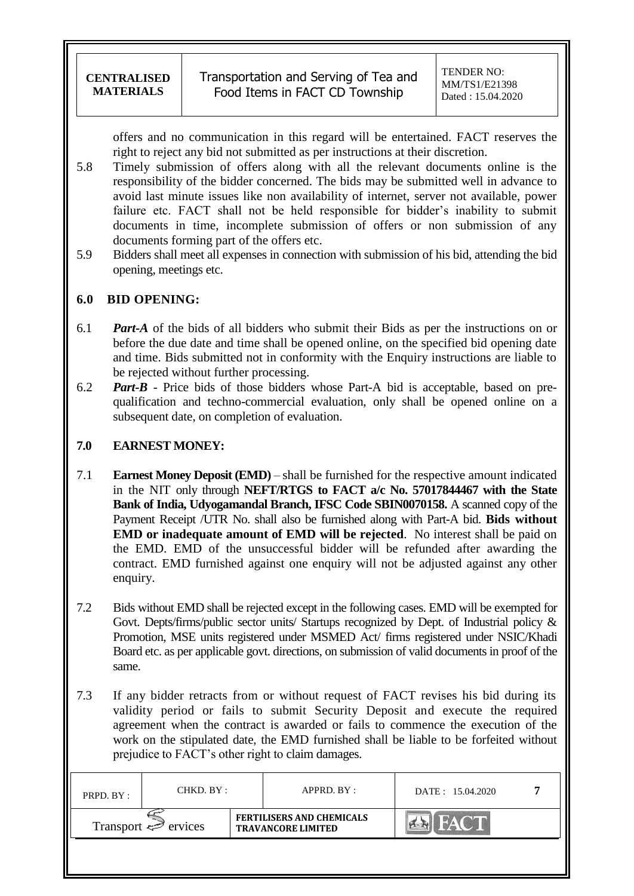offers and no communication in this regard will be entertained. FACT reserves the right to reject any bid not submitted as per instructions at their discretion.

- 5.8 Timely submission of offers along with all the relevant documents online is the responsibility of the bidder concerned. The bids may be submitted well in advance to avoid last minute issues like non availability of internet, server not available, power failure etc. FACT shall not be held responsible for bidder"s inability to submit documents in time, incomplete submission of offers or non submission of any documents forming part of the offers etc.
- 5.9 Bidders shall meet all expenses in connection with submission of his bid, attending the bid opening, meetings etc.

### **6.0 BID OPENING:**

- 6.1 *Part-A* of the bids of all bidders who submit their Bids as per the instructions on or before the due date and time shall be opened online, on the specified bid opening date and time. Bids submitted not in conformity with the Enquiry instructions are liable to be rejected without further processing.
- 6.2 *Part-B* Price bids of those bidders whose Part-A bid is acceptable, based on prequalification and techno-commercial evaluation, only shall be opened online on a subsequent date, on completion of evaluation.

### **7.0 EARNEST MONEY:**

- 7.1 **Earnest Money Deposit (EMD)** shall be furnished for the respective amount indicated in the NIT only through **NEFT/RTGS to FACT a/c No. 57017844467 with the State Bank of India, Udyogamandal Branch, IFSC Code SBIN0070158.** A scanned copy of the Payment Receipt /UTR No. shall also be furnished along with Part-A bid. **Bids without EMD or inadequate amount of EMD will be rejected**. No interest shall be paid on the EMD. EMD of the unsuccessful bidder will be refunded after awarding the contract. EMD furnished against one enquiry will not be adjusted against any other enquiry.
- 7.2 Bids without EMD shall be rejected except in the following cases. EMD will be exempted for Govt. Depts/firms/public sector units/ Startups recognized by Dept. of Industrial policy & Promotion, MSE units registered under MSMED Act/ firms registered under NSIC/Khadi Board etc. as per applicable govt. directions, on submission of valid documents in proof of the same.
- 7.3 If any bidder retracts from or without request of FACT revises his bid during its validity period or fails to submit Security Deposit and execute the required agreement when the contract is awarded or fails to commence the execution of the work on the stipulated date, the EMD furnished shall be liable to be forfeited without prejudice to FACT"s other right to claim damages.

| PRPD. BY:                           | CHKD. BY : |  | APPRD. BY :                                                   | DATE: 15.04.2020 |  |
|-------------------------------------|------------|--|---------------------------------------------------------------|------------------|--|
| Transport $\Leftrightarrow$ ervices |            |  | <b>FERTILISERS AND CHEMICALS</b><br><b>TRAVANCORE LIMITED</b> | <b>FACT</b>      |  |
|                                     |            |  |                                                               |                  |  |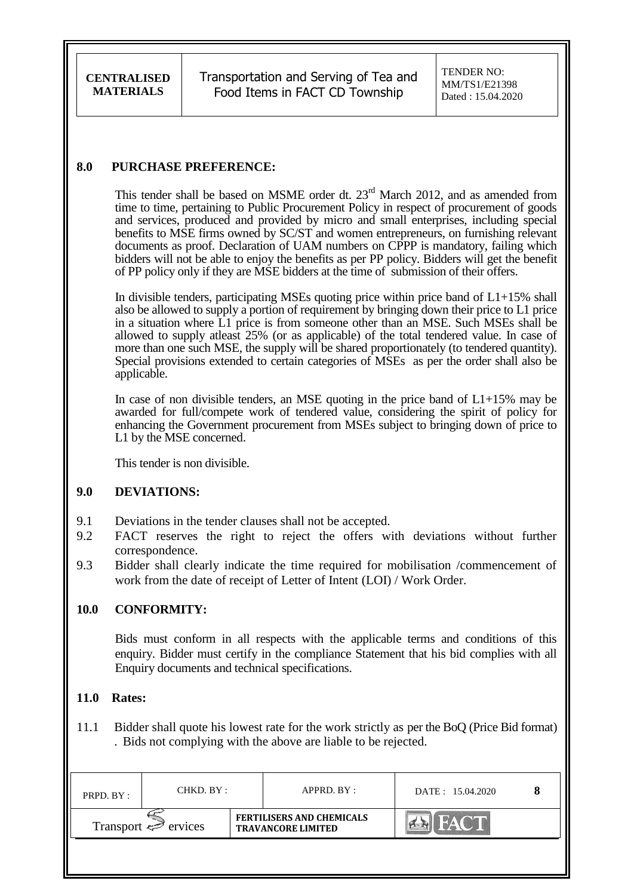Transportation and Serving of Tea and Food Items in FACT CD Township

TENDER NO: MM/TS1/E21398 Dated : 15.04.2020

### **8.0 PURCHASE PREFERENCE:**

This tender shall be based on MSME order dt.  $23<sup>rd</sup>$  March 2012, and as amended from time to time, pertaining to Public Procurement Policy in respect of procurement of goods and services, produced and provided by micro and small enterprises, including special benefits to MSE firms owned by SC/ST and women entrepreneurs, on furnishing relevant documents as proof. Declaration of UAM numbers on CPPP is mandatory, failing which bidders will not be able to enjoy the benefits as per PP policy. Bidders will get the benefit of PP policy only if they are MSE bidders at the time of submission of their offers.

In divisible tenders, participating MSEs quoting price within price band of  $L1+15\%$  shall also be allowed to supply a portion of requirement by bringing down their price to L1 price in a situation where L1 price is from someone other than an MSE. Such MSEs shall be allowed to supply atleast 25% (or as applicable) of the total tendered value. In case of more than one such MSE, the supply will be shared proportionately (to tendered quantity). Special provisions extended to certain categories of MSEs as per the order shall also be applicable.

In case of non divisible tenders, an MSE quoting in the price band of  $L1+15\%$  may be awarded for full/compete work of tendered value, considering the spirit of policy for enhancing the Government procurement from MSEs subject to bringing down of price to L1 by the MSE concerned.

This tender is non divisible.

#### **9.0 DEVIATIONS:**

- 9.1 Deviations in the tender clauses shall not be accepted.
- 9.2 FACT reserves the right to reject the offers with deviations without further correspondence.
- 9.3 Bidder shall clearly indicate the time required for mobilisation /commencement of work from the date of receipt of Letter of Intent (LOI) / Work Order.

### **10.0 CONFORMITY:**

Bids must conform in all respects with the applicable terms and conditions of this enquiry. Bidder must certify in the compliance Statement that his bid complies with all Enquiry documents and technical specifications.

#### **11.0 Rates:**

11.1 Bidder shall quote his lowest rate for the work strictly as per the BoQ (Price Bid format) . Bids not complying with the above are liable to be rejected.

| PRPD. BY:                | CHKD. BY: |  | APPRD. BY:                                                    | DATE: 15.04.2020 |  |
|--------------------------|-----------|--|---------------------------------------------------------------|------------------|--|
| Transport $\iff$ ervices |           |  | <b>FERTILISERS AND CHEMICALS</b><br><b>TRAVANCORE LIMITED</b> |                  |  |
|                          |           |  |                                                               |                  |  |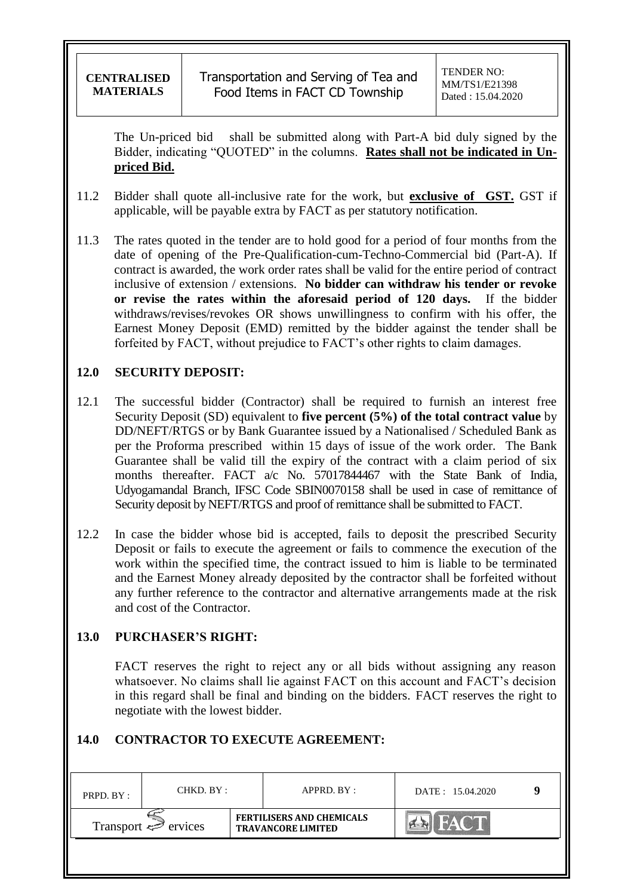The Un-priced bid shall be submitted along with Part-A bid duly signed by the Bidder, indicating "QUOTED" in the columns. **Rates shall not be indicated in Unpriced Bid.**

- 11.2 Bidder shall quote all-inclusive rate for the work, but **exclusive of GST.** GST if applicable, will be payable extra by FACT as per statutory notification.
- 11.3 The rates quoted in the tender are to hold good for a period of four months from the date of opening of the Pre-Qualification-cum-Techno-Commercial bid (Part-A). If contract is awarded, the work order rates shall be valid for the entire period of contract inclusive of extension / extensions. **No bidder can withdraw his tender or revoke or revise the rates within the aforesaid period of 120 days.** If the bidder withdraws/revises/revokes OR shows unwillingness to confirm with his offer, the Earnest Money Deposit (EMD) remitted by the bidder against the tender shall be forfeited by FACT, without prejudice to FACT"s other rights to claim damages.

## **12.0 SECURITY DEPOSIT:**

- 12.1 The successful bidder (Contractor) shall be required to furnish an interest free Security Deposit (SD) equivalent to **five percent (5%) of the total contract value** by DD/NEFT/RTGS or by Bank Guarantee issued by a Nationalised / Scheduled Bank as per the Proforma prescribed within 15 days of issue of the work order. The Bank Guarantee shall be valid till the expiry of the contract with a claim period of six months thereafter. FACT a/c No. 57017844467 with the State Bank of India, Udyogamandal Branch, IFSC Code SBIN0070158 shall be used in case of remittance of Security deposit by NEFT/RTGS and proof of remittance shall be submitted to FACT.
- 12.2 In case the bidder whose bid is accepted, fails to deposit the prescribed Security Deposit or fails to execute the agreement or fails to commence the execution of the work within the specified time, the contract issued to him is liable to be terminated and the Earnest Money already deposited by the contractor shall be forfeited without any further reference to the contractor and alternative arrangements made at the risk and cost of the Contractor.

## **13.0 PURCHASER'S RIGHT:**

FACT reserves the right to reject any or all bids without assigning any reason whatsoever. No claims shall lie against FACT on this account and FACT's decision in this regard shall be final and binding on the bidders. FACT reserves the right to negotiate with the lowest bidder.

## **14.0 CONTRACTOR TO EXECUTE AGREEMENT:**

| PRPD. BY:                           | CHKD. BY : |  | APPRD. BY:                                                    | DATE: 15.04.2020 |  |
|-------------------------------------|------------|--|---------------------------------------------------------------|------------------|--|
| Transport $\Leftrightarrow$ ervices |            |  | <b>FERTILISERS AND CHEMICALS</b><br><b>TRAVANCORE LIMITED</b> |                  |  |
|                                     |            |  |                                                               |                  |  |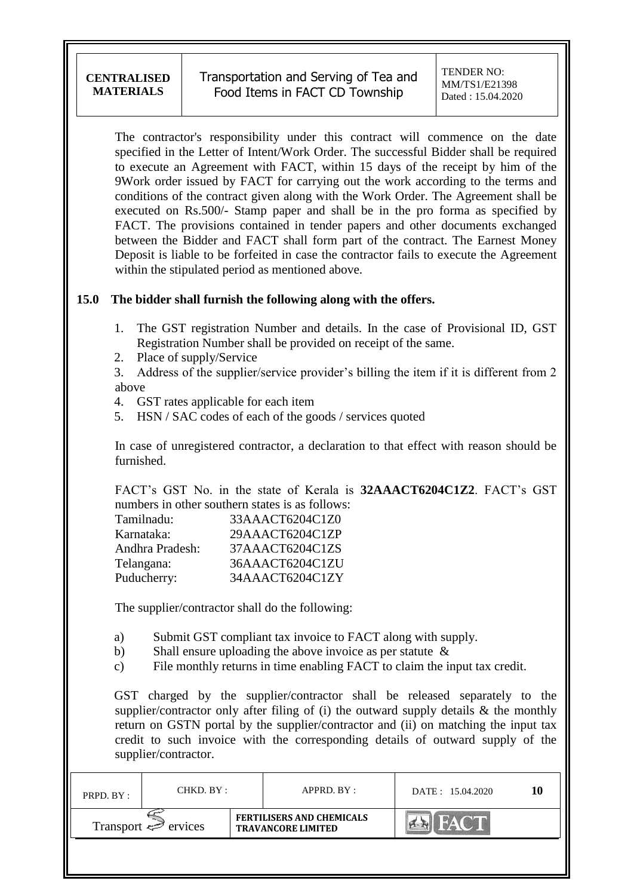The contractor's responsibility under this contract will commence on the date specified in the Letter of Intent/Work Order. The successful Bidder shall be required to execute an Agreement with FACT, within 15 days of the receipt by him of the 9Work order issued by FACT for carrying out the work according to the terms and conditions of the contract given along with the Work Order. The Agreement shall be executed on Rs.500/- Stamp paper and shall be in the pro forma as specified by FACT. The provisions contained in tender papers and other documents exchanged between the Bidder and FACT shall form part of the contract. The Earnest Money Deposit is liable to be forfeited in case the contractor fails to execute the Agreement within the stipulated period as mentioned above.

### **15.0 The bidder shall furnish the following along with the offers.**

- 1. The GST registration Number and details. In the case of Provisional ID, GST Registration Number shall be provided on receipt of the same.
- 2. Place of supply/Service

3. Address of the supplier/service provider's billing the item if it is different from 2 above

- 4. GST rates applicable for each item
- 5. HSN / SAC codes of each of the goods / services quoted

In case of unregistered contractor, a declaration to that effect with reason should be furnished.

FACT"s GST No. in the state of Kerala is **32AAACT6204C1Z2**. FACT"s GST numbers in other southern states is as follows:

| Tamilnadu:      | 33AAACT6204C1Z0 |
|-----------------|-----------------|
| Karnataka:      | 29AAACT6204C1ZP |
| Andhra Pradesh: | 37AAACT6204C1ZS |
| Telangana:      | 36AAACT6204C1ZU |
| Puducherry:     | 34AAACT6204C1ZY |
|                 |                 |

The supplier/contractor shall do the following:

- a) Submit GST compliant tax invoice to FACT along with supply.
- b) Shall ensure uploading the above invoice as per statute &
- c) File monthly returns in time enabling FACT to claim the input tax credit.

GST charged by the supplier/contractor shall be released separately to the supplier/contractor only after filing of (i) the outward supply details  $\&$  the monthly return on GSTN portal by the supplier/contractor and (ii) on matching the input tax credit to such invoice with the corresponding details of outward supply of the supplier/contractor.

| PRPD. BY:                           | CHKD. BY : |  | APPRD. BY :                                                   | DATE: 15.04.2020 |  |
|-------------------------------------|------------|--|---------------------------------------------------------------|------------------|--|
| Transport $\Leftrightarrow$ ervices |            |  | <b>FERTILISERS AND CHEMICALS</b><br><b>TRAVANCORE LIMITED</b> |                  |  |
|                                     |            |  |                                                               |                  |  |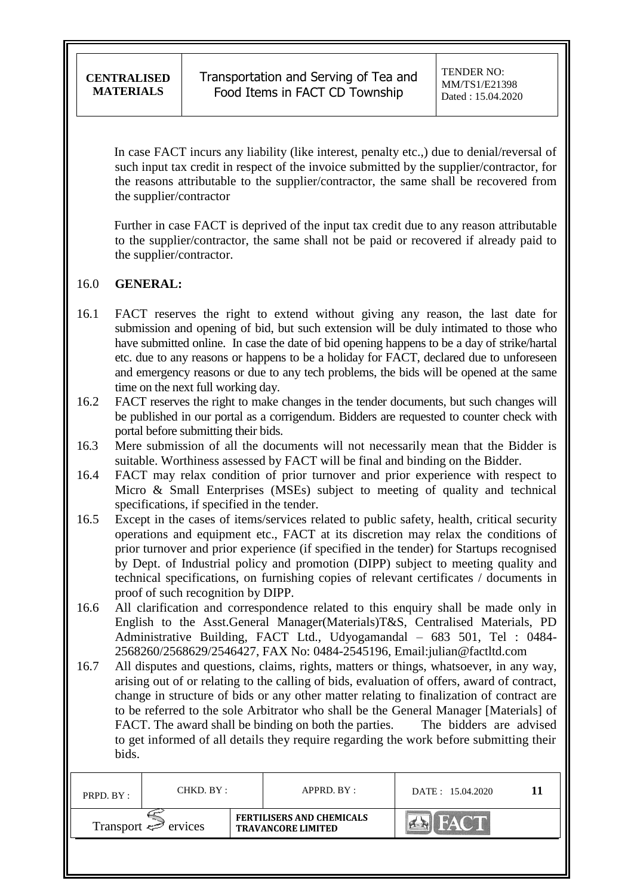Transportation and Serving of Tea and Food Items in FACT CD Township

TENDER NO: MM/TS1/E21398 Dated : 15.04.2020

In case FACT incurs any liability (like interest, penalty etc.,) due to denial/reversal of such input tax credit in respect of the invoice submitted by the supplier/contractor, for the reasons attributable to the supplier/contractor, the same shall be recovered from the supplier/contractor

Further in case FACT is deprived of the input tax credit due to any reason attributable to the supplier/contractor, the same shall not be paid or recovered if already paid to the supplier/contractor.

#### 16.0 **GENERAL:**

- 16.1 FACT reserves the right to extend without giving any reason, the last date for submission and opening of bid, but such extension will be duly intimated to those who have submitted online. In case the date of bid opening happens to be a day of strike/hartal etc. due to any reasons or happens to be a holiday for FACT, declared due to unforeseen and emergency reasons or due to any tech problems, the bids will be opened at the same time on the next full working day.
- 16.2 FACT reserves the right to make changes in the tender documents, but such changes will be published in our portal as a corrigendum. Bidders are requested to counter check with portal before submitting their bids.
- 16.3 Mere submission of all the documents will not necessarily mean that the Bidder is suitable. Worthiness assessed by FACT will be final and binding on the Bidder.
- 16.4 FACT may relax condition of prior turnover and prior experience with respect to Micro & Small Enterprises (MSEs) subject to meeting of quality and technical specifications, if specified in the tender.
- 16.5 Except in the cases of items/services related to public safety, health, critical security operations and equipment etc., FACT at its discretion may relax the conditions of prior turnover and prior experience (if specified in the tender) for Startups recognised by Dept. of Industrial policy and promotion (DIPP) subject to meeting quality and technical specifications, on furnishing copies of relevant certificates / documents in proof of such recognition by DIPP.
- 16.6 All clarification and correspondence related to this enquiry shall be made only in English to the Asst.General Manager(Materials)T&S, Centralised Materials, PD Administrative Building, FACT Ltd., Udyogamandal – 683 501, Tel : 0484- 2568260/2568629/2546427, FAX No: 0484-2545196, Email:julian@factltd.com
- 16.7 All disputes and questions, claims, rights, matters or things, whatsoever, in any way, arising out of or relating to the calling of bids, evaluation of offers, award of contract, change in structure of bids or any other matter relating to finalization of contract are to be referred to the sole Arbitrator who shall be the General Manager [Materials] of FACT. The award shall be binding on both the parties. The bidders are advised to get informed of all details they require regarding the work before submitting their bids.

| PRPD. BY:                | CHKD. BY : |  | APPRD. BY :                                                   | DATE: 15.04.2020 |  |
|--------------------------|------------|--|---------------------------------------------------------------|------------------|--|
| Transport $\iff$ ervices |            |  | <b>FERTILISERS AND CHEMICALS</b><br><b>TRAVANCORE LIMITED</b> |                  |  |
|                          |            |  |                                                               |                  |  |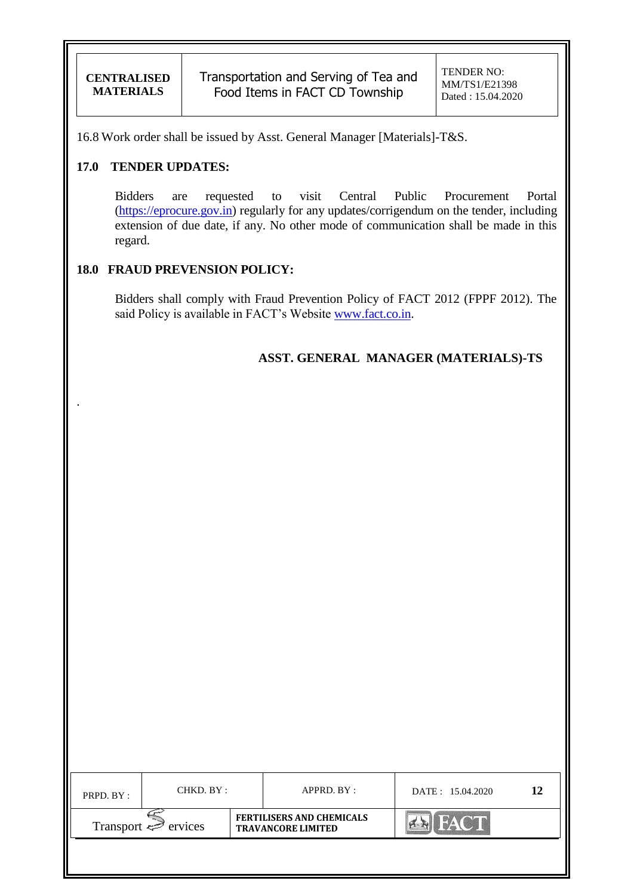.

16.8 Work order shall be issued by Asst. General Manager [Materials]-T&S.

### **17.0 TENDER UPDATES:**

Bidders are requested to visit Central Public Procurement Portal [\(https://eprocure.gov.in\)](https://eprocure.gov.in/) regularly for any updates/corrigendum on the tender, including extension of due date, if any. No other mode of communication shall be made in this regard.

### **18.0 FRAUD PREVENSION POLICY:**

Bidders shall comply with Fraud Prevention Policy of FACT 2012 (FPPF 2012). The said Policy is available in FACT's Website [www.fact.co.in.](http://www.fact.co.in/)

**ASST. GENERAL MANAGER (MATERIALS)-TS**

| PRPD. BY :                          | CHKD. BY : |                                                               | APPRD. BY: | DATE: 15.04.2020 |  |
|-------------------------------------|------------|---------------------------------------------------------------|------------|------------------|--|
| Transport $\Leftrightarrow$ ervices |            | <b>FERTILISERS AND CHEMICALS</b><br><b>TRAVANCORE LIMITED</b> |            | <b>FACT</b>      |  |
|                                     |            |                                                               |            |                  |  |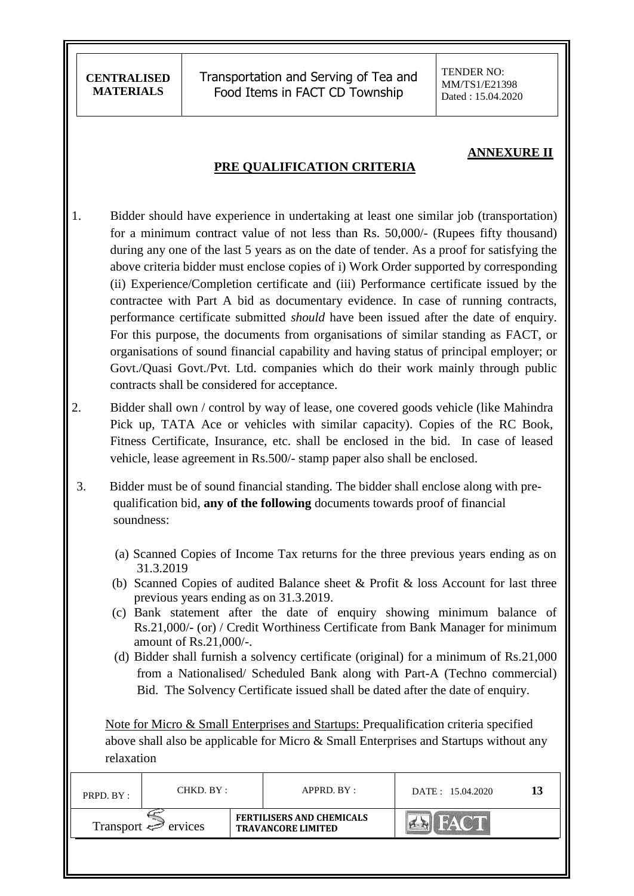Transportation and Serving of Tea and Food Items in FACT CD Township

TENDER NO: MM/TS1/E21398 Dated : 15.04.2020

#### **ANNEXURE II**

#### **PRE QUALIFICATION CRITERIA**

- 1. Bidder should have experience in undertaking at least one similar job (transportation) for a minimum contract value of not less than Rs. 50,000/- (Rupees fifty thousand) during any one of the last 5 years as on the date of tender. As a proof for satisfying the above criteria bidder must enclose copies of i) Work Order supported by corresponding (ii) Experience/Completion certificate and (iii) Performance certificate issued by the contractee with Part A bid as documentary evidence. In case of running contracts, performance certificate submitted *should* have been issued after the date of enquiry. For this purpose, the documents from organisations of similar standing as FACT, or organisations of sound financial capability and having status of principal employer; or Govt./Quasi Govt./Pvt. Ltd. companies which do their work mainly through public contracts shall be considered for acceptance.
- 2. Bidder shall own / control by way of lease, one covered goods vehicle (like Mahindra Pick up, TATA Ace or vehicles with similar capacity). Copies of the RC Book, Fitness Certificate, Insurance, etc. shall be enclosed in the bid. In case of leased vehicle, lease agreement in Rs.500/- stamp paper also shall be enclosed.
- 3. Bidder must be of sound financial standing. The bidder shall enclose along with prequalification bid, **any of the following** documents towards proof of financial soundness:
	- (a) Scanned Copies of Income Tax returns for the three previous years ending as on 31.3.2019
	- (b) Scanned Copies of audited Balance sheet & Profit & loss Account for last three previous years ending as on 31.3.2019.
	- (c) Bank statement after the date of enquiry showing minimum balance of Rs.21,000/- (or) / Credit Worthiness Certificate from Bank Manager for minimum amount of Rs.21,000/-.
	- (d) Bidder shall furnish a solvency certificate (original) for a minimum of Rs.21,000 from a Nationalised/ Scheduled Bank along with Part-A (Techno commercial) Bid. The Solvency Certificate issued shall be dated after the date of enquiry.

 Note for Micro & Small Enterprises and Startups: Prequalification criteria specified above shall also be applicable for Micro & Small Enterprises and Startups without any relaxation

| PRPD. BY:                | CHKD. BY : |  | $APPRD$ . $BY$ :                                              | DATE: 15.04.2020 |  |
|--------------------------|------------|--|---------------------------------------------------------------|------------------|--|
| Transport $\iff$ ervices |            |  | <b>FERTILISERS AND CHEMICALS</b><br><b>TRAVANCORE LIMITED</b> |                  |  |
|                          |            |  |                                                               |                  |  |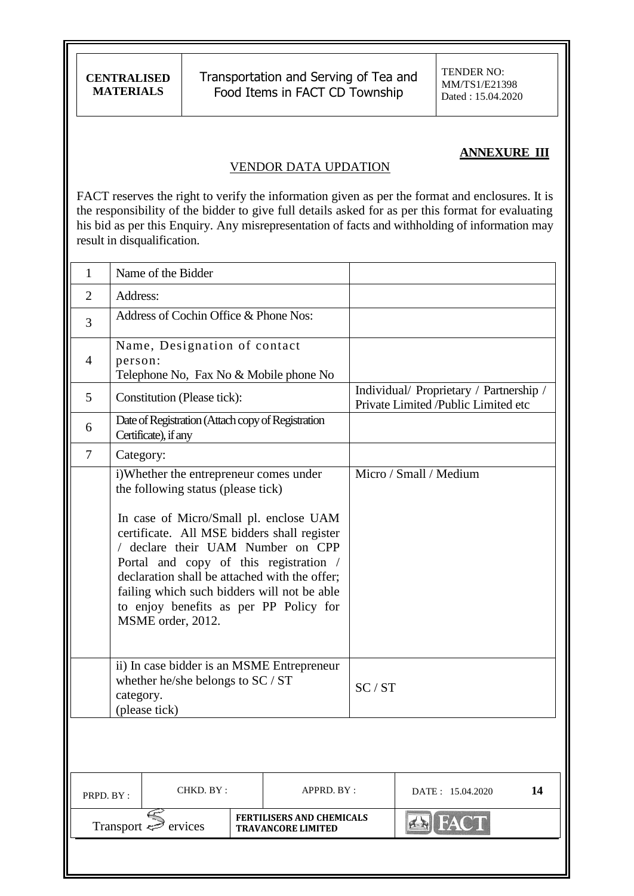Transportation and Serving of Tea and Food Items in FACT CD Township

TENDER NO: MM/TS1/E21398 Dated : 15.04.2020

### **ANNEXURE III**

#### VENDOR DATA UPDATION

FACT reserves the right to verify the information given as per the format and enclosures. It is the responsibility of the bidder to give full details asked for as per this format for evaluating his bid as per this Enquiry. Any misrepresentation of facts and withholding of information may result in disqualification.

| $\mathbf{1}$   |                                                                                                                                                                                                                                                                                                                                                                                                                     | Name of the Bidder                                                        |  |                                                               |       |                                                                                |    |
|----------------|---------------------------------------------------------------------------------------------------------------------------------------------------------------------------------------------------------------------------------------------------------------------------------------------------------------------------------------------------------------------------------------------------------------------|---------------------------------------------------------------------------|--|---------------------------------------------------------------|-------|--------------------------------------------------------------------------------|----|
| $\overline{2}$ | Address:                                                                                                                                                                                                                                                                                                                                                                                                            |                                                                           |  |                                                               |       |                                                                                |    |
| 3              |                                                                                                                                                                                                                                                                                                                                                                                                                     | Address of Cochin Office & Phone Nos:                                     |  |                                                               |       |                                                                                |    |
| $\overline{4}$ | Name, Designation of contact<br>person:<br>Telephone No, Fax No & Mobile phone No                                                                                                                                                                                                                                                                                                                                   |                                                                           |  |                                                               |       |                                                                                |    |
| 5              |                                                                                                                                                                                                                                                                                                                                                                                                                     | Constitution (Please tick):                                               |  |                                                               |       | Individual/ Proprietary / Partnership /<br>Private Limited /Public Limited etc |    |
| 6              |                                                                                                                                                                                                                                                                                                                                                                                                                     | Date of Registration (Attach copy of Registration<br>Certificate), if any |  |                                                               |       |                                                                                |    |
| 7              | Category:                                                                                                                                                                                                                                                                                                                                                                                                           |                                                                           |  |                                                               |       |                                                                                |    |
|                | i)Whether the entrepreneur comes under<br>the following status (please tick)<br>In case of Micro/Small pl. enclose UAM<br>certificate. All MSE bidders shall register<br>/ declare their UAM Number on CPP<br>Portal and copy of this registration /<br>declaration shall be attached with the offer;<br>failing which such bidders will not be able<br>to enjoy benefits as per PP Policy for<br>MSME order, 2012. |                                                                           |  |                                                               |       | Micro / Small / Medium                                                         |    |
|                | ii) In case bidder is an MSME Entrepreneur<br>whether he/she belongs to SC / ST<br>category.<br>(please tick)                                                                                                                                                                                                                                                                                                       |                                                                           |  |                                                               | SC/ST |                                                                                |    |
|                |                                                                                                                                                                                                                                                                                                                                                                                                                     |                                                                           |  |                                                               |       |                                                                                |    |
|                | CHKD. BY:<br>PRPD. BY:                                                                                                                                                                                                                                                                                                                                                                                              |                                                                           |  | APPRD. BY :                                                   |       | DATE: 15.04.2020                                                               | 14 |
|                | Transport =                                                                                                                                                                                                                                                                                                                                                                                                         | ervices                                                                   |  | <b>FERTILISERS AND CHEMICALS</b><br><b>TRAVANCORE LIMITED</b> |       | <b>FACT</b>                                                                    |    |
|                |                                                                                                                                                                                                                                                                                                                                                                                                                     |                                                                           |  |                                                               |       |                                                                                |    |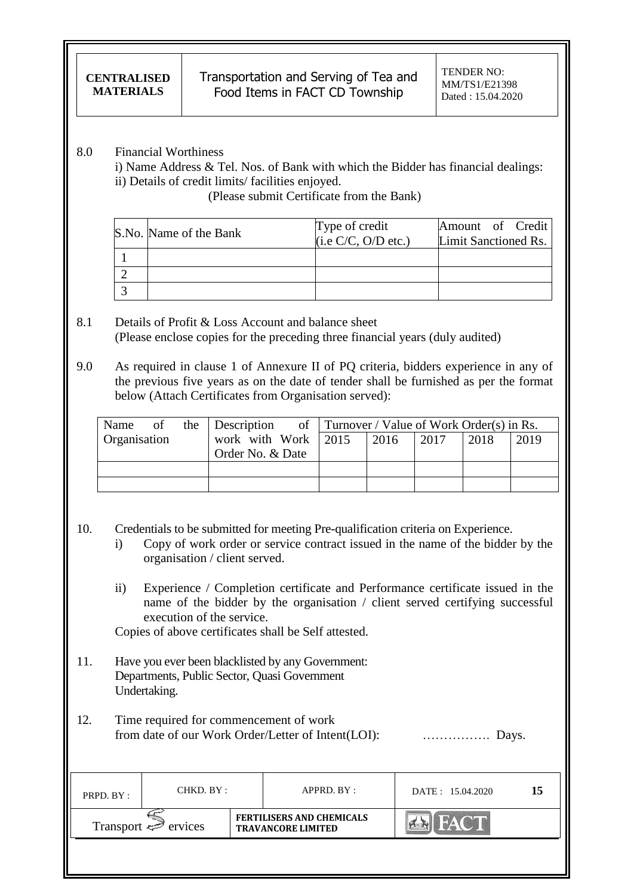#### 8.0 Financial Worthiness

i) Name Address & Tel. Nos. of Bank with which the Bidder has financial dealings: ii) Details of credit limits/ facilities enjoyed.

(Please submit Certificate from the Bank)

| S.No. Name of the Bank | Type of credit      | Amount of Credit     |
|------------------------|---------------------|----------------------|
|                        | (i.e C/C, O/D etc.) | Limit Sanctioned Rs. |
|                        |                     |                      |
|                        |                     |                      |
|                        |                     |                      |

### 8.1 Details of Profit & Loss Account and balance sheet (Please enclose copies for the preceding three financial years (duly audited)

9.0 As required in clause 1 of Annexure II of PQ criteria, bidders experience in any of the previous five years as on the date of tender shall be furnished as per the format below (Attach Certificates from Organisation served):

|                     |  | Name of the Description of Turnover / Value of Work Order(s) in Rs. |      |      |      |      |
|---------------------|--|---------------------------------------------------------------------|------|------|------|------|
| <b>Organisation</b> |  | work with Work $\vert$ 2015                                         | 2016 | 2017 | 2018 | 2019 |
|                     |  | Order No. & Date                                                    |      |      |      |      |
|                     |  |                                                                     |      |      |      |      |
|                     |  |                                                                     |      |      |      |      |

- 10. Credentials to be submitted for meeting Pre-qualification criteria on Experience.
	- i) Copy of work order or service contract issued in the name of the bidder by the organisation / client served.
	- ii) Experience / Completion certificate and Performance certificate issued in the name of the bidder by the organisation / client served certifying successful execution of the service.

Copies of above certificates shall be Self attested.

- 11. Have you ever been blacklisted by any Government: Departments, Public Sector, Quasi Government Undertaking.
- 12. Time required for commencement of work from date of our Work Order/Letter of Intent(LOI): ……………. Days.

| PRPD. BY:                      | CHKD. BY : |  | APPRD. BY:                                                    | DATE: 15.04.2020 | 15 |
|--------------------------------|------------|--|---------------------------------------------------------------|------------------|----|
| Transport $\Leftarrow$ ervices |            |  | <b>FERTILISERS AND CHEMICALS</b><br><b>TRAVANCORE LIMITED</b> |                  |    |
|                                |            |  |                                                               |                  |    |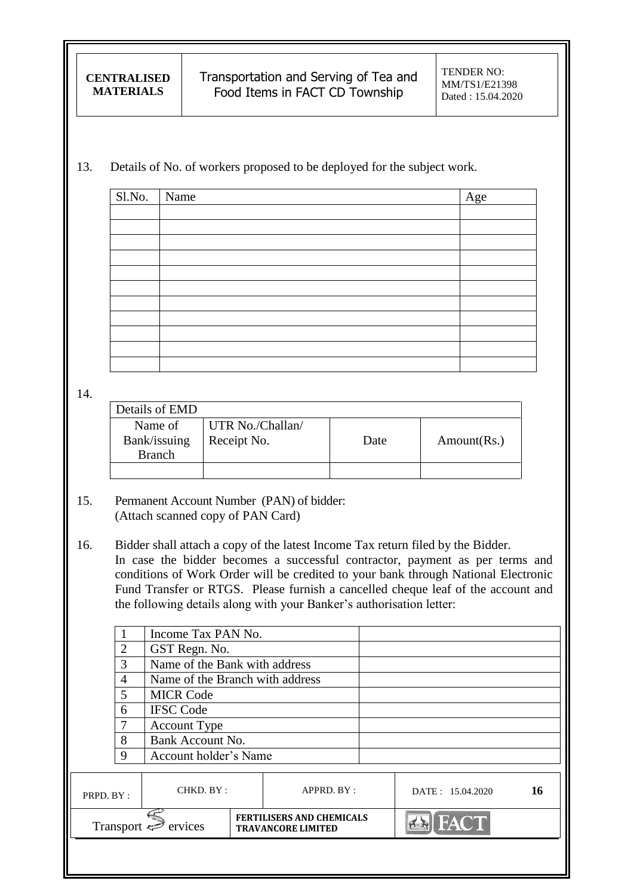Transportation and Serving of Tea and Food Items in FACT CD Township

### 13. Details of No. of workers proposed to be deployed for the subject work.

| $\overline{\text{S1.N}}$ o. | Name | Age |
|-----------------------------|------|-----|
|                             |      |     |
|                             |      |     |
|                             |      |     |
|                             |      |     |
|                             |      |     |
|                             |      |     |
|                             |      |     |
|                             |      |     |
|                             |      |     |
|                             |      |     |
|                             |      |     |

14.

| Details of EMD |                  |      |             |
|----------------|------------------|------|-------------|
| Name of        | UTR No./Challan/ |      |             |
| Bank/issuing   | Receipt No.      | Date | Amount(Rs.) |
| <b>Branch</b>  |                  |      |             |
|                |                  |      |             |

- 15. Permanent Account Number (PAN) of bidder: (Attach scanned copy of PAN Card)
- 16. Bidder shall attach a copy of the latest Income Tax return filed by the Bidder. In case the bidder becomes a successful contractor, payment as per terms and conditions of Work Order will be credited to your bank through National Electronic Fund Transfer or RTGS. Please furnish a cancelled cheque leaf of the account and the following details along with your Banker"s authorisation letter:

|                                        |                | Income Tax PAN No.                                            |            |              |                  |    |
|----------------------------------------|----------------|---------------------------------------------------------------|------------|--------------|------------------|----|
|                                        | $\overline{2}$ | GST Regn. No.                                                 |            |              |                  |    |
|                                        | 3              | Name of the Bank with address                                 |            |              |                  |    |
|                                        | 4              | Name of the Branch with address                               |            |              |                  |    |
|                                        | 5              | <b>MICR Code</b>                                              |            |              |                  |    |
|                                        | 6              | <b>IFSC Code</b>                                              |            |              |                  |    |
|                                        | 7              | <b>Account Type</b>                                           |            |              |                  |    |
|                                        | 8              | Bank Account No.                                              |            |              |                  |    |
|                                        | 9              | Account holder's Name                                         |            |              |                  |    |
|                                        |                |                                                               |            |              |                  |    |
| PRPD. BY:                              |                | CHKD. BY:                                                     | APPRD. BY: |              | DATE: 15.04.2020 | 16 |
| Transport $\epsilon^{\geq}$<br>ervices |                | <b>FERTILISERS AND CHEMICALS</b><br><b>TRAVANCORE LIMITED</b> |            | <b>IFACT</b> |                  |    |
|                                        |                |                                                               |            |              |                  |    |
|                                        |                |                                                               |            |              |                  |    |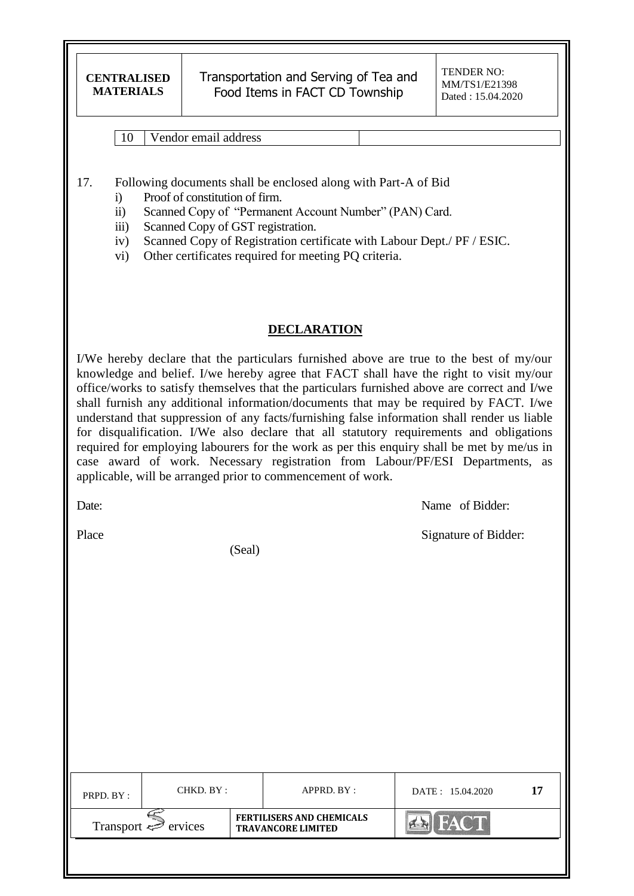Transportation and Serving of Tea and Food Items in FACT CD Township

10 Vendor email address

17. Following documents shall be enclosed along with Part-A of Bid

- i) Proof of constitution of firm.
- ii) Scanned Copy of "Permanent Account Number" (PAN) Card.
- iii) Scanned Copy of GST registration.
- iv) Scanned Copy of Registration certificate with Labour Dept./ PF / ESIC.
- vi) Other certificates required for meeting PQ criteria.

### **DECLARATION**

I/We hereby declare that the particulars furnished above are true to the best of my/our knowledge and belief. I/we hereby agree that FACT shall have the right to visit my/our office/works to satisfy themselves that the particulars furnished above are correct and I/we shall furnish any additional information/documents that may be required by FACT. I/we understand that suppression of any facts/furnishing false information shall render us liable for disqualification. I/We also declare that all statutory requirements and obligations required for employing labourers for the work as per this enquiry shall be met by me/us in case award of work. Necessary registration from Labour/PF/ESI Departments, as applicable, will be arranged prior to commencement of work.

Date: Name of Bidder:

Place Signature of Bidder:

(Seal)

| PRPD. BY:                           | CHKD. BY : |  | APPRD. BY:                                                    | DATE: 15.04.2020 |  |
|-------------------------------------|------------|--|---------------------------------------------------------------|------------------|--|
| Transport $\Leftrightarrow$ ervices |            |  | <b>FERTILISERS AND CHEMICALS</b><br><b>TRAVANCORE LIMITED</b> | <b>FACT</b>      |  |
|                                     |            |  |                                                               |                  |  |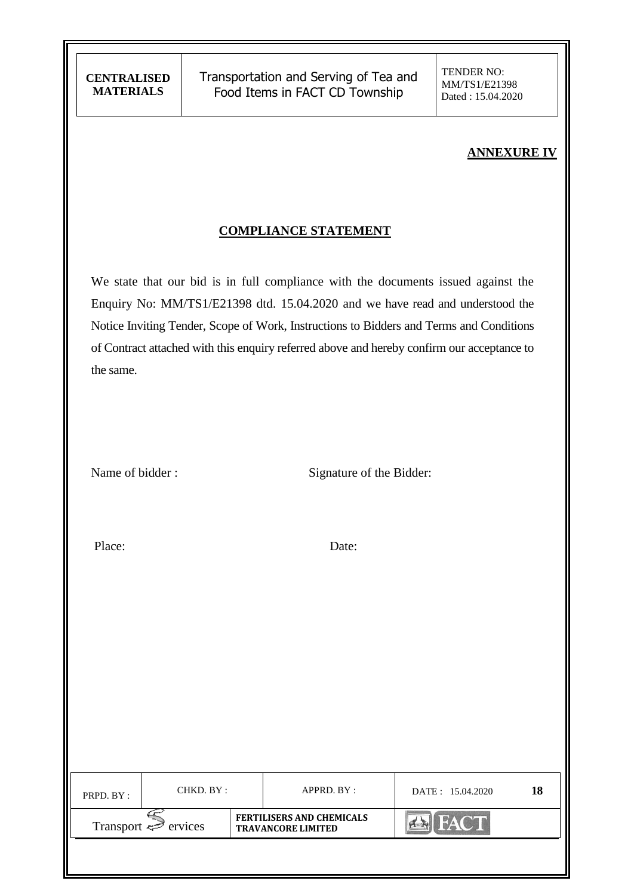# **ANNEXURE IV**

## **COMPLIANCE STATEMENT**

We state that our bid is in full compliance with the documents issued against the Enquiry No: MM/TS1/E21398 dtd. 15.04.2020 and we have read and understood the Notice Inviting Tender, Scope of Work, Instructions to Bidders and Terms and Conditions of Contract attached with this enquiry referred above and hereby confirm our acceptance to the same.

|  | Name of bidder: |  |
|--|-----------------|--|
|  |                 |  |

Signature of the Bidder:

Place: Date:

| PRPD. BY:                           | CHKD. BY : |  | APPRD. BY :                                                   | DATE: 15.04.2020 | 18 |
|-------------------------------------|------------|--|---------------------------------------------------------------|------------------|----|
| Transport $\Leftrightarrow$ ervices |            |  | <b>FERTILISERS AND CHEMICALS</b><br><b>TRAVANCORE LIMITED</b> | <b>FACT</b>      |    |
|                                     |            |  |                                                               |                  |    |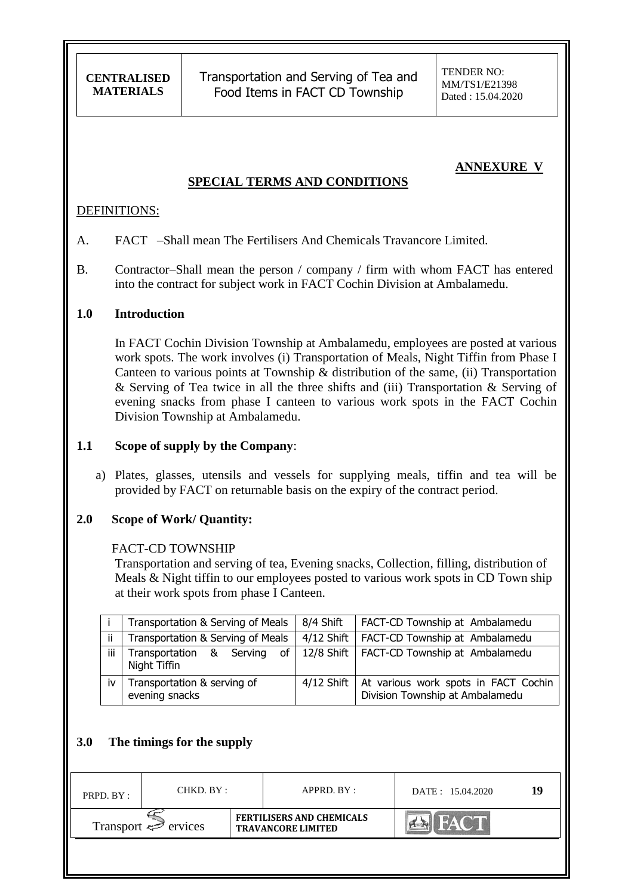Transportation and Serving of Tea and Food Items in FACT CD Township

## **ANNEXURE V**

#### **SPECIAL TERMS AND CONDITIONS**

#### DEFINITIONS:

- A. FACT –Shall mean The Fertilisers And Chemicals Travancore Limited.
- B. Contractor–Shall mean the person / company / firm with whom FACT has entered into the contract for subject work in FACT Cochin Division at Ambalamedu.

#### **1.0 Introduction**

In FACT Cochin Division Township at Ambalamedu, employees are posted at various work spots. The work involves (i) Transportation of Meals, Night Tiffin from Phase I Canteen to various points at Township & distribution of the same, (ii) Transportation & Serving of Tea twice in all the three shifts and (iii) Transportation & Serving of evening snacks from phase I canteen to various work spots in the FACT Cochin Division Township at Ambalamedu.

#### **1.1 Scope of supply by the Company**:

a) Plates, glasses, utensils and vessels for supplying meals, tiffin and tea will be provided by FACT on returnable basis on the expiry of the contract period.

#### **2.0 Scope of Work/ Quantity:**

#### FACT-CD TOWNSHIP

Transportation and serving of tea, Evening snacks, Collection, filling, distribution of Meals & Night tiffin to our employees posted to various work spots in CD Town ship at their work spots from phase I Canteen.

|     | Transportation & Serving of Meals              | 8/4 Shift | FACT-CD Township at Ambalamedu                                                       |
|-----|------------------------------------------------|-----------|--------------------------------------------------------------------------------------|
| ji. | Transportation & Serving of Meals              |           | 4/12 Shift   FACT-CD Township at Ambalamedu                                          |
| iii | of<br>Transportation & Serving<br>Night Tiffin |           | 12/8 Shift   FACT-CD Township at Ambalamedu                                          |
| iv  | Transportation & serving of<br>evening snacks  |           | 4/12 Shift   At various work spots in FACT Cochin<br>Division Township at Ambalamedu |

### **3.0 The timings for the supply**

| PRPD. BY: | CHKD. BY :                     |  | $APPRD$ . $BY$ :                                              | DATE: 15.04.2020 | 1 U |
|-----------|--------------------------------|--|---------------------------------------------------------------|------------------|-----|
|           | Transport $\Leftarrow$ ervices |  | <b>FERTILISERS AND CHEMICALS</b><br><b>TRAVANCORE LIMITED</b> |                  |     |
|           |                                |  |                                                               |                  |     |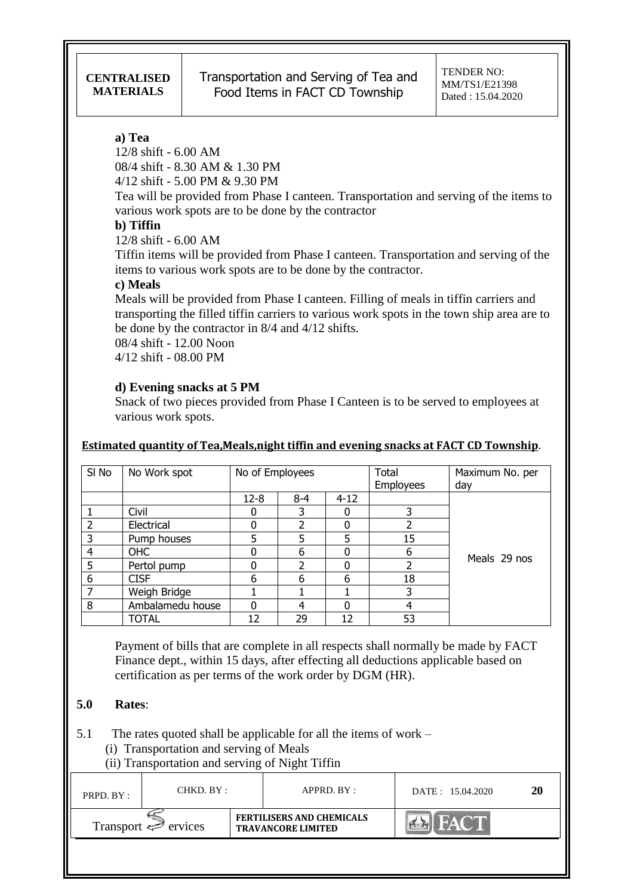### **a) Tea**

12/8 shift - 6.00 AM 08/4 shift - 8.30 AM & 1.30 PM

4/12 shift - 5.00 PM & 9.30 PM

Tea will be provided from Phase I canteen. Transportation and serving of the items to various work spots are to be done by the contractor

## **b) Tiffin**

12/8 shift - 6.00 AM

Tiffin items will be provided from Phase I canteen. Transportation and serving of the items to various work spots are to be done by the contractor.

### **c) Meals**

Meals will be provided from Phase I canteen. Filling of meals in tiffin carriers and transporting the filled tiffin carriers to various work spots in the town ship area are to be done by the contractor in 8/4 and 4/12 shifts.

08/4 shift - 12.00 Noon 4/12 shift - 08.00 PM

## **d) Evening snacks at 5 PM**

Snack of two pieces provided from Phase I Canteen is to be served to employees at various work spots.

### **Estimated quantity of Tea,Meals,night tiffin and evening snacks at FACT CD Township**.

| SI No | No Work spot     | No of Employees |         |          | Total            | Maximum No. per |
|-------|------------------|-----------------|---------|----------|------------------|-----------------|
|       |                  |                 |         |          | <b>Employees</b> | day             |
|       |                  | $12 - 8$        | $8 - 4$ | $4 - 12$ |                  |                 |
|       | Civil            |                 | 3       |          |                  |                 |
| 2     | Electrical       |                 |         |          |                  |                 |
| 3     | Pump houses      | 5               | 5       | 5        | 15               |                 |
| 4     | OHC              |                 | 6       |          | 6                | Meals 29 nos    |
| 5     | Pertol pump      |                 |         | 0        |                  |                 |
| 6     | <b>CISF</b>      | 6               | 6       | 6        | 18               |                 |
|       | Weigh Bridge     |                 |         |          |                  |                 |
| 8     | Ambalamedu house |                 | 4       | ი        | 4                |                 |
|       | <b>TOTAL</b>     | 12              | 29      | 12       | 53               |                 |

 Payment of bills that are complete in all respects shall normally be made by FACT Finance dept., within 15 days, after effecting all deductions applicable based on certification as per terms of the work order by DGM (HR).

## **5.0 Rates**:

5.1 The rates quoted shall be applicable for all the items of work –

- (i) Transportation and serving of Meals
- (ii) Transportation and serving of Night Tiffin

| PRPD. BY:                | CHKD. BY : |  | APPRD. BY:                                                    | DATE: 15.04.2020 | 20 |
|--------------------------|------------|--|---------------------------------------------------------------|------------------|----|
| Transport $\iff$ ervices |            |  | <b>FERTILISERS AND CHEMICALS</b><br><b>TRAVANCORE LIMITED</b> |                  |    |
|                          |            |  |                                                               |                  |    |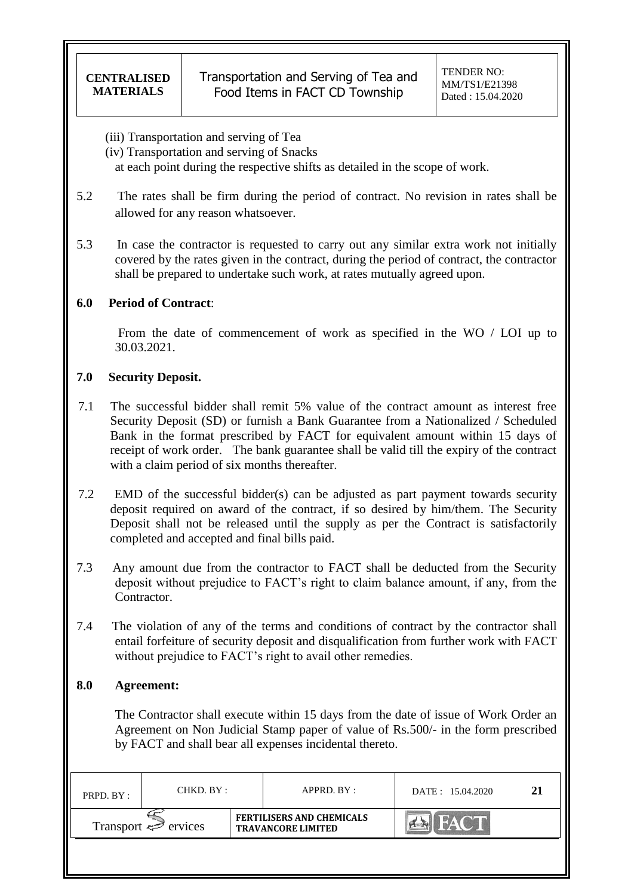(iii) Transportation and serving of Tea

(iv) Transportation and serving of Snacks

at each point during the respective shifts as detailed in the scope of work.

- 5.2 The rates shall be firm during the period of contract. No revision in rates shall be allowed for any reason whatsoever.
- 5.3 In case the contractor is requested to carry out any similar extra work not initially covered by the rates given in the contract, during the period of contract, the contractor shall be prepared to undertake such work, at rates mutually agreed upon.

### **6.0 Period of Contract**:

 From the date of commencement of work as specified in the WO / LOI up to 30.03.2021.

### **7.0 Security Deposit.**

- 7.1 The successful bidder shall remit 5% value of the contract amount as interest free Security Deposit (SD) or furnish a Bank Guarantee from a Nationalized / Scheduled Bank in the format prescribed by FACT for equivalent amount within 15 days of receipt of work order. The bank guarantee shall be valid till the expiry of the contract with a claim period of six months thereafter.
- 7.2 EMD of the successful bidder(s) can be adjusted as part payment towards security deposit required on award of the contract, if so desired by him/them. The Security Deposit shall not be released until the supply as per the Contract is satisfactorily completed and accepted and final bills paid.
- 7.3 Any amount due from the contractor to FACT shall be deducted from the Security deposit without prejudice to FACT"s right to claim balance amount, if any, from the Contractor.
- 7.4 The violation of any of the terms and conditions of contract by the contractor shall entail forfeiture of security deposit and disqualification from further work with FACT without prejudice to FACT's right to avail other remedies.

## **8.0 Agreement:**

 The Contractor shall execute within 15 days from the date of issue of Work Order an Agreement on Non Judicial Stamp paper of value of Rs.500/- in the form prescribed by FACT and shall bear all expenses incidental thereto.

| PRPD. BY:                           | CHKD. BY : |  | APPRD. BY:                                                    | DATE: 15.04.2020 | 21 |
|-------------------------------------|------------|--|---------------------------------------------------------------|------------------|----|
| Transport $\Leftrightarrow$ ervices |            |  | <b>FERTILISERS AND CHEMICALS</b><br><b>TRAVANCORE LIMITED</b> |                  |    |
|                                     |            |  |                                                               |                  |    |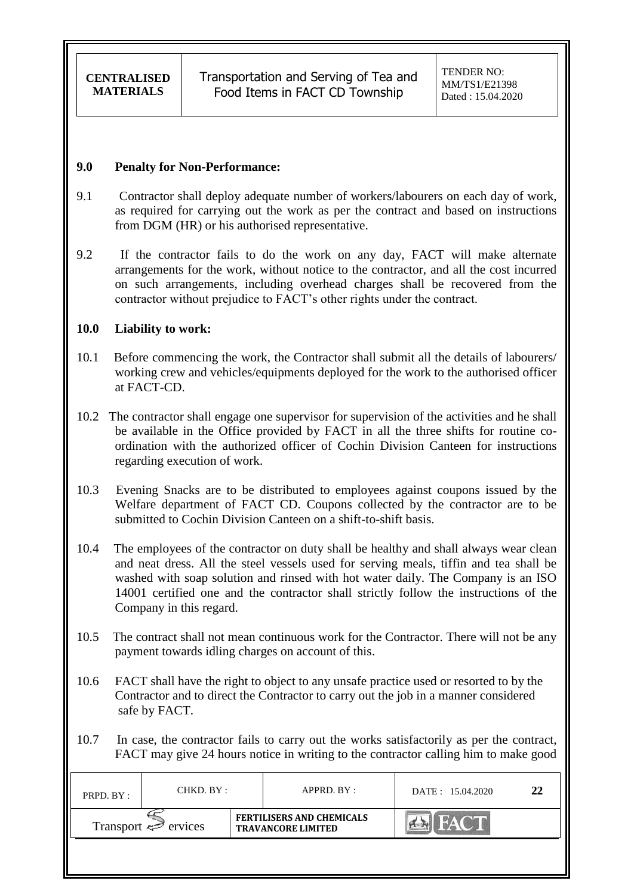#### **9.0 Penalty for Non-Performance:**

- 9.1 Contractor shall deploy adequate number of workers/labourers on each day of work, as required for carrying out the work as per the contract and based on instructions from DGM (HR) or his authorised representative.
- 9.2 If the contractor fails to do the work on any day, FACT will make alternate arrangements for the work, without notice to the contractor, and all the cost incurred on such arrangements, including overhead charges shall be recovered from the contractor without prejudice to FACT"s other rights under the contract.

### **10.0 Liability to work:**

- 10.1 Before commencing the work, the Contractor shall submit all the details of labourers/ working crew and vehicles/equipments deployed for the work to the authorised officer at FACT-CD.
- 10.2 The contractor shall engage one supervisor for supervision of the activities and he shall be available in the Office provided by FACT in all the three shifts for routine coordination with the authorized officer of Cochin Division Canteen for instructions regarding execution of work.
- 10.3 Evening Snacks are to be distributed to employees against coupons issued by the Welfare department of FACT CD. Coupons collected by the contractor are to be submitted to Cochin Division Canteen on a shift-to-shift basis.
- 10.4 The employees of the contractor on duty shall be healthy and shall always wear clean and neat dress. All the steel vessels used for serving meals, tiffin and tea shall be washed with soap solution and rinsed with hot water daily. The Company is an ISO 14001 certified one and the contractor shall strictly follow the instructions of the Company in this regard.
- 10.5 The contract shall not mean continuous work for the Contractor. There will not be any payment towards idling charges on account of this.
- 10.6 FACT shall have the right to object to any unsafe practice used or resorted to by the Contractor and to direct the Contractor to carry out the job in a manner considered safe by FACT.
- 10.7 In case, the contractor fails to carry out the works satisfactorily as per the contract, FACT may give 24 hours notice in writing to the contractor calling him to make good

| PRPD. BY:                | CHKD. BY : |                                                               | $APPRD$ . $BY$ : | DATE: 15.04.2020 | 22 |
|--------------------------|------------|---------------------------------------------------------------|------------------|------------------|----|
| Transport $\iff$ ervices |            | <b>FERTILISERS AND CHEMICALS</b><br><b>TRAVANCORE LIMITED</b> |                  | <b>ANSEE</b>     |    |
|                          |            |                                                               |                  |                  |    |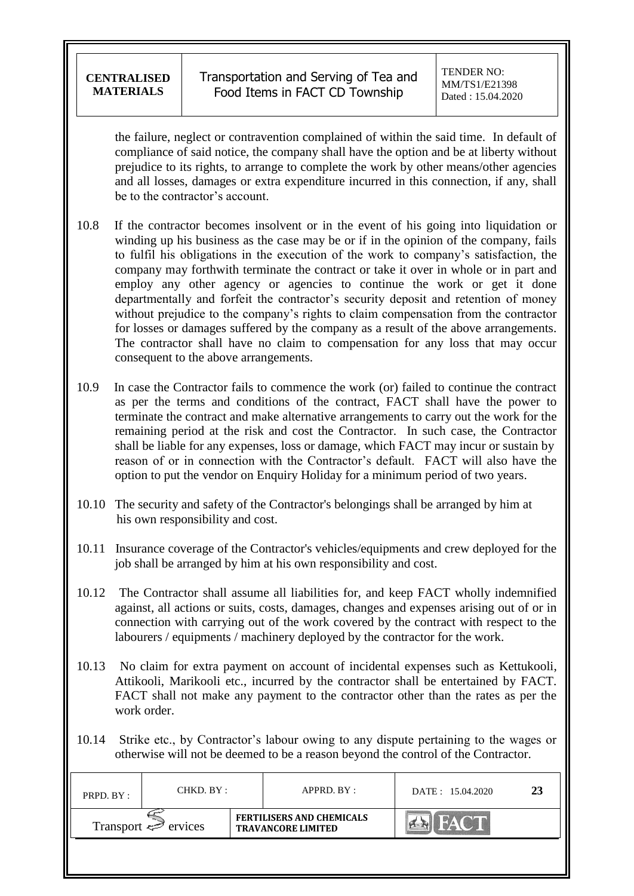the failure, neglect or contravention complained of within the said time. In default of compliance of said notice, the company shall have the option and be at liberty without prejudice to its rights, to arrange to complete the work by other means/other agencies and all losses, damages or extra expenditure incurred in this connection, if any, shall be to the contractor's account.

- 10.8 If the contractor becomes insolvent or in the event of his going into liquidation or winding up his business as the case may be or if in the opinion of the company, fails to fulfil his obligations in the execution of the work to company"s satisfaction, the company may forthwith terminate the contract or take it over in whole or in part and employ any other agency or agencies to continue the work or get it done departmentally and forfeit the contractor's security deposit and retention of money without prejudice to the company's rights to claim compensation from the contractor for losses or damages suffered by the company as a result of the above arrangements. The contractor shall have no claim to compensation for any loss that may occur consequent to the above arrangements.
- 10.9 In case the Contractor fails to commence the work (or) failed to continue the contract as per the terms and conditions of the contract, FACT shall have the power to terminate the contract and make alternative arrangements to carry out the work for the remaining period at the risk and cost the Contractor. In such case, the Contractor shall be liable for any expenses, loss or damage, which FACT may incur or sustain by reason of or in connection with the Contractor's default. FACT will also have the option to put the vendor on Enquiry Holiday for a minimum period of two years.
- 10.10 The security and safety of the Contractor's belongings shall be arranged by him at his own responsibility and cost.
- 10.11 Insurance coverage of the Contractor's vehicles/equipments and crew deployed for the job shall be arranged by him at his own responsibility and cost.
- 10.12 The Contractor shall assume all liabilities for, and keep FACT wholly indemnified against, all actions or suits, costs, damages, changes and expenses arising out of or in connection with carrying out of the work covered by the contract with respect to the labourers / equipments / machinery deployed by the contractor for the work.
- 10.13 No claim for extra payment on account of incidental expenses such as Kettukooli, Attikooli, Marikooli etc., incurred by the contractor shall be entertained by FACT. FACT shall not make any payment to the contractor other than the rates as per the work order.
- 10.14 Strike etc., by Contractor"s labour owing to any dispute pertaining to the wages or otherwise will not be deemed to be a reason beyond the control of the Contractor.

| PRPD. BY:                | CHKD. BY : |                                                               | APPRD. BY : | DATE: 15.04.2020 | 23 |
|--------------------------|------------|---------------------------------------------------------------|-------------|------------------|----|
| Transport $\iff$ ervices |            | <b>FERTILISERS AND CHEMICALS</b><br><b>TRAVANCORE LIMITED</b> |             |                  |    |
|                          |            |                                                               |             |                  |    |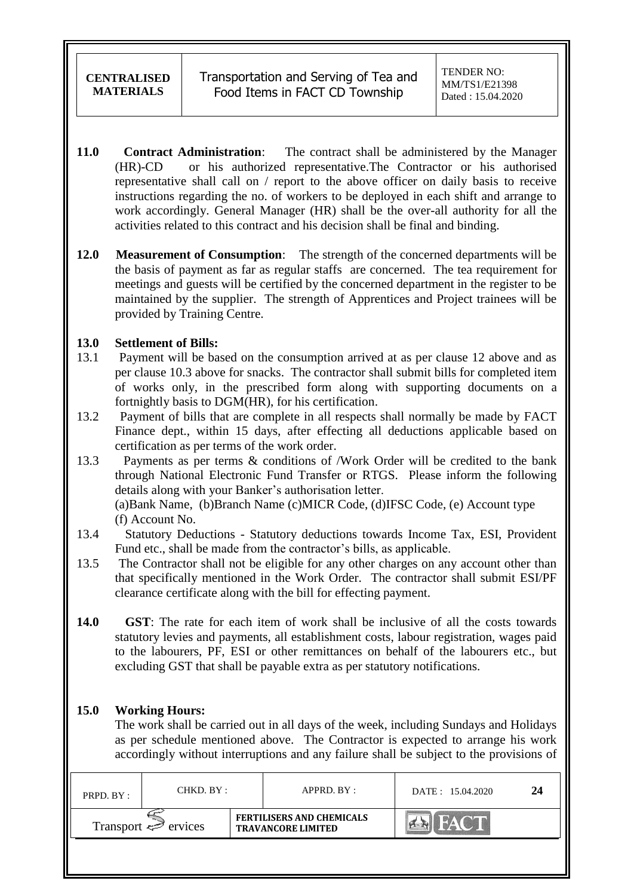- **11.0 Contract Administration**: The contract shall be administered by the Manager (HR)-CD or his authorized representative.The Contractor or his authorised representative shall call on / report to the above officer on daily basis to receive instructions regarding the no. of workers to be deployed in each shift and arrange to work accordingly. General Manager (HR) shall be the over-all authority for all the activities related to this contract and his decision shall be final and binding.
- **12.0 Measurement of Consumption**: The strength of the concerned departments will be the basis of payment as far as regular staffs are concerned. The tea requirement for meetings and guests will be certified by the concerned department in the register to be maintained by the supplier. The strength of Apprentices and Project trainees will be provided by Training Centre.

### **13.0 Settlement of Bills:**

- 13.1 Payment will be based on the consumption arrived at as per clause 12 above and as per clause 10.3 above for snacks. The contractor shall submit bills for completed item of works only, in the prescribed form along with supporting documents on a fortnightly basis to DGM(HR), for his certification.
- 13.2 Payment of bills that are complete in all respects shall normally be made by FACT Finance dept., within 15 days, after effecting all deductions applicable based on certification as per terms of the work order.
- 13.3 Payments as per terms & conditions of /Work Order will be credited to the bank through National Electronic Fund Transfer or RTGS. Please inform the following details along with your Banker's authorisation letter.

 (a)Bank Name, (b)Branch Name (c)MICR Code, (d)IFSC Code, (e) Account type (f) Account No.

- 13.4 Statutory Deductions Statutory deductions towards Income Tax, ESI, Provident Fund etc., shall be made from the contractor's bills, as applicable.
- 13.5 The Contractor shall not be eligible for any other charges on any account other than that specifically mentioned in the Work Order. The contractor shall submit ESI/PF clearance certificate along with the bill for effecting payment.
- **14.0 GST**: The rate for each item of work shall be inclusive of all the costs towards statutory levies and payments, all establishment costs, labour registration, wages paid to the labourers, PF, ESI or other remittances on behalf of the labourers etc., but excluding GST that shall be payable extra as per statutory notifications.

### **15.0 Working Hours:**

 The work shall be carried out in all days of the week, including Sundays and Holidays as per schedule mentioned above. The Contractor is expected to arrange his work accordingly without interruptions and any failure shall be subject to the provisions of

| PRPD. BY:                | CHKD. BY : |                                                               | APPRD. BY: | DATE: 15.04.2020 | 24 |
|--------------------------|------------|---------------------------------------------------------------|------------|------------------|----|
| Transport $\iff$ ervices |            | <b>FERTILISERS AND CHEMICALS</b><br><b>TRAVANCORE LIMITED</b> |            |                  |    |
|                          |            |                                                               |            |                  |    |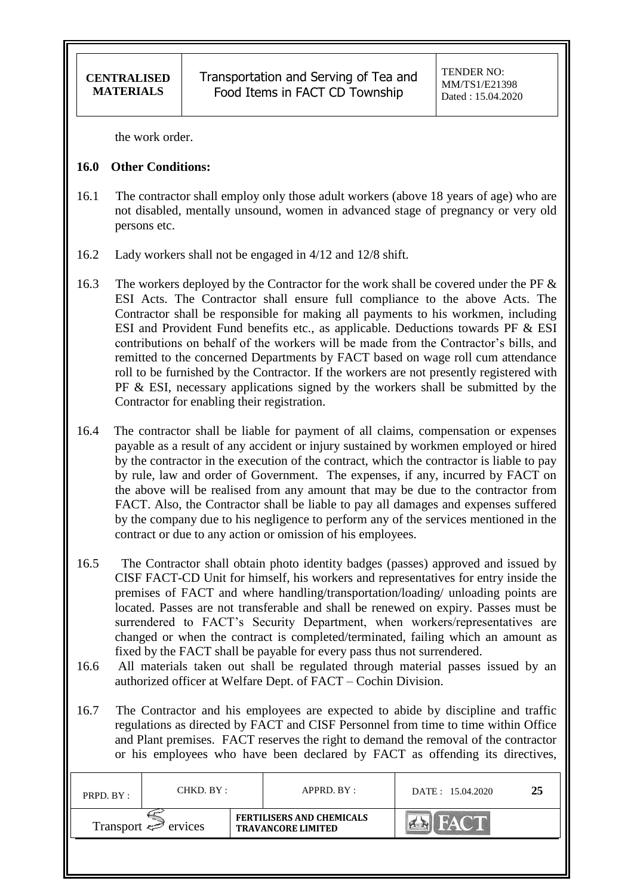the work order.

### **16.0 Other Conditions:**

- 16.1 The contractor shall employ only those adult workers (above 18 years of age) who are not disabled, mentally unsound, women in advanced stage of pregnancy or very old persons etc.
- 16.2 Lady workers shall not be engaged in 4/12 and 12/8 shift.
- 16.3 The workers deployed by the Contractor for the work shall be covered under the PF  $\&$ ESI Acts. The Contractor shall ensure full compliance to the above Acts. The Contractor shall be responsible for making all payments to his workmen, including ESI and Provident Fund benefits etc., as applicable. Deductions towards PF & ESI contributions on behalf of the workers will be made from the Contractor's bills, and remitted to the concerned Departments by FACT based on wage roll cum attendance roll to be furnished by the Contractor. If the workers are not presently registered with PF & ESI, necessary applications signed by the workers shall be submitted by the Contractor for enabling their registration.
- 16.4 The contractor shall be liable for payment of all claims, compensation or expenses payable as a result of any accident or injury sustained by workmen employed or hired by the contractor in the execution of the contract, which the contractor is liable to pay by rule, law and order of Government. The expenses, if any, incurred by FACT on the above will be realised from any amount that may be due to the contractor from FACT. Also, the Contractor shall be liable to pay all damages and expenses suffered by the company due to his negligence to perform any of the services mentioned in the contract or due to any action or omission of his employees.
- 16.5 The Contractor shall obtain photo identity badges (passes) approved and issued by CISF FACT-CD Unit for himself, his workers and representatives for entry inside the premises of FACT and where handling/transportation/loading/ unloading points are located. Passes are not transferable and shall be renewed on expiry. Passes must be surrendered to FACT's Security Department, when workers/representatives are changed or when the contract is completed/terminated, failing which an amount as fixed by the FACT shall be payable for every pass thus not surrendered.
- 16.6 All materials taken out shall be regulated through material passes issued by an authorized officer at Welfare Dept. of FACT – Cochin Division.
- 16.7 The Contractor and his employees are expected to abide by discipline and traffic regulations as directed by FACT and CISF Personnel from time to time within Office and Plant premises. FACT reserves the right to demand the removal of the contractor or his employees who have been declared by FACT as offending its directives,

| PRPD. BY:                           | CHKD. BY : |  | APPRD. BY:                                                    | DATE: 15.04.2020 | 25 |
|-------------------------------------|------------|--|---------------------------------------------------------------|------------------|----|
| Transport $\Leftrightarrow$ ervices |            |  | <b>FERTILISERS AND CHEMICALS</b><br><b>TRAVANCORE LIMITED</b> |                  |    |
|                                     |            |  |                                                               |                  |    |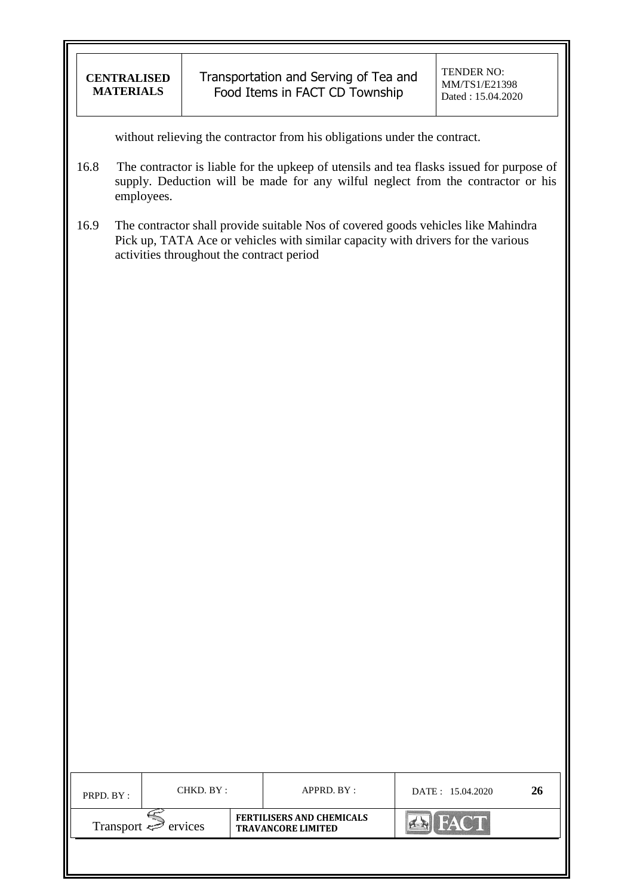| <b>CENTRALISED</b> |
|--------------------|
| <b>MATERIALS</b>   |

Transportation and Serving of Tea and Food Items in FACT CD Township

without relieving the contractor from his obligations under the contract.

- 16.8 The contractor is liable for the upkeep of utensils and tea flasks issued for purpose of supply. Deduction will be made for any wilful neglect from the contractor or his employees.
- 16.9 The contractor shall provide suitable Nos of covered goods vehicles like Mahindra Pick up, TATA Ace or vehicles with similar capacity with drivers for the various activities throughout the contract period

| PRPD. BY:                           | CHKD. BY : |                                                               | APPRD. BY : | DATE: 15.04.2020 | 26 |
|-------------------------------------|------------|---------------------------------------------------------------|-------------|------------------|----|
| Transport $\Leftrightarrow$ ervices |            | <b>FERTILISERS AND CHEMICALS</b><br><b>TRAVANCORE LIMITED</b> |             | <b>FACT</b>      |    |
|                                     |            |                                                               |             |                  |    |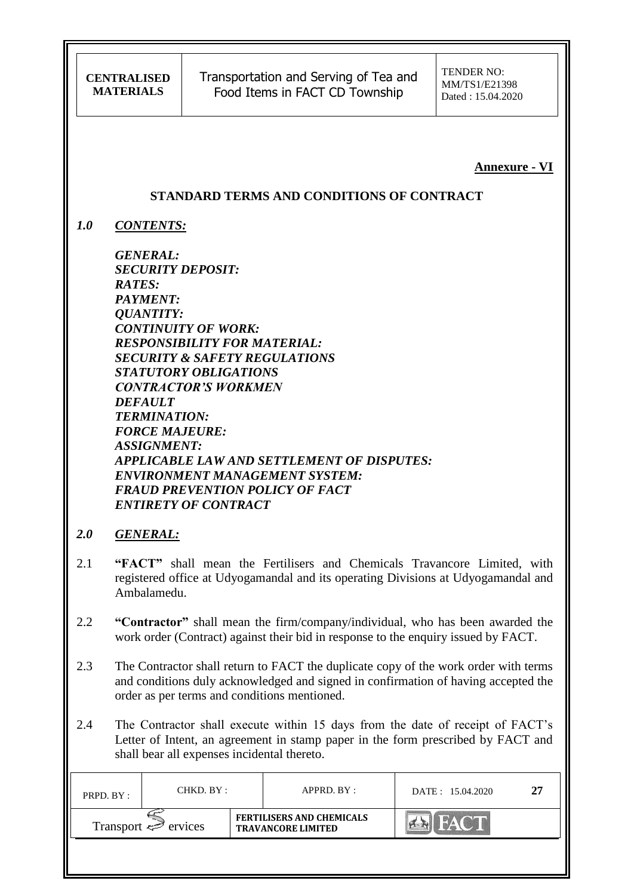Transportation and Serving of Tea and Food Items in FACT CD Township

**Annexure - VI**

### **STANDARD TERMS AND CONDITIONS OF CONTRACT**

*1.0 CONTENTS:*

*GENERAL: SECURITY DEPOSIT: RATES: PAYMENT: QUANTITY: CONTINUITY OF WORK: RESPONSIBILITY FOR MATERIAL: SECURITY & SAFETY REGULATIONS STATUTORY OBLIGATIONS CONTRACTOR'S WORKMEN DEFAULT TERMINATION: FORCE MAJEURE: ASSIGNMENT: APPLICABLE LAW AND SETTLEMENT OF DISPUTES: ENVIRONMENT MANAGEMENT SYSTEM: FRAUD PREVENTION POLICY OF FACT ENTIRETY OF CONTRACT*

### *2.0 GENERAL:*

- 2.1 **"FACT"** shall mean the Fertilisers and Chemicals Travancore Limited, with registered office at Udyogamandal and its operating Divisions at Udyogamandal and Ambalamedu.
- 2.2 **"Contractor"** shall mean the firm/company/individual, who has been awarded the work order (Contract) against their bid in response to the enquiry issued by FACT.
- 2.3 The Contractor shall return to FACT the duplicate copy of the work order with terms and conditions duly acknowledged and signed in confirmation of having accepted the order as per terms and conditions mentioned.
- 2.4 The Contractor shall execute within 15 days from the date of receipt of FACT"s Letter of Intent, an agreement in stamp paper in the form prescribed by FACT and shall bear all expenses incidental thereto.

| PRPD. BY:                           | CHKD. BY : |  | APPRD. BY:                                                    | DATE: 15.04.2020 | 27 |
|-------------------------------------|------------|--|---------------------------------------------------------------|------------------|----|
| Transport $\Leftrightarrow$ ervices |            |  | <b>FERTILISERS AND CHEMICALS</b><br><b>TRAVANCORE LIMITED</b> | FACTI            |    |
|                                     |            |  |                                                               |                  |    |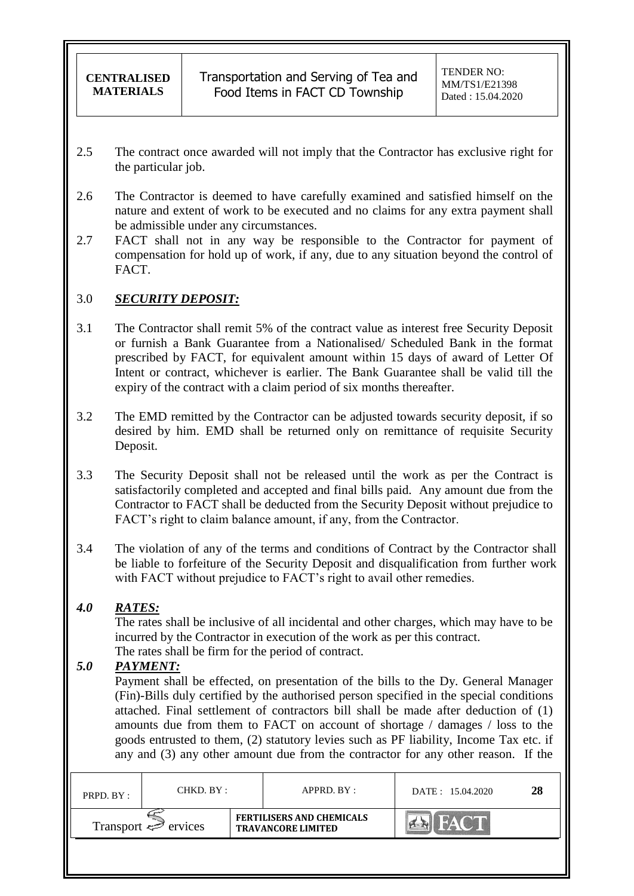- 2.5 The contract once awarded will not imply that the Contractor has exclusive right for the particular job.
- 2.6 The Contractor is deemed to have carefully examined and satisfied himself on the nature and extent of work to be executed and no claims for any extra payment shall be admissible under any circumstances.
- 2.7 FACT shall not in any way be responsible to the Contractor for payment of compensation for hold up of work, if any, due to any situation beyond the control of FACT.

### 3.0 *SECURITY DEPOSIT:*

- 3.1 The Contractor shall remit 5% of the contract value as interest free Security Deposit or furnish a Bank Guarantee from a Nationalised/ Scheduled Bank in the format prescribed by FACT, for equivalent amount within 15 days of award of Letter Of Intent or contract, whichever is earlier. The Bank Guarantee shall be valid till the expiry of the contract with a claim period of six months thereafter.
- 3.2 The EMD remitted by the Contractor can be adjusted towards security deposit, if so desired by him. EMD shall be returned only on remittance of requisite Security Deposit.
- 3.3 The Security Deposit shall not be released until the work as per the Contract is satisfactorily completed and accepted and final bills paid. Any amount due from the Contractor to FACT shall be deducted from the Security Deposit without prejudice to FACT"s right to claim balance amount, if any, from the Contractor.
- 3.4 The violation of any of the terms and conditions of Contract by the Contractor shall be liable to forfeiture of the Security Deposit and disqualification from further work with FACT without prejudice to FACT's right to avail other remedies.

## *4.0 RATES:*

The rates shall be inclusive of all incidental and other charges, which may have to be incurred by the Contractor in execution of the work as per this contract. The rates shall be firm for the period of contract.

### *5.0 PAYMENT:*

Payment shall be effected, on presentation of the bills to the Dy. General Manager (Fin)-Bills duly certified by the authorised person specified in the special conditions attached. Final settlement of contractors bill shall be made after deduction of (1) amounts due from them to FACT on account of shortage / damages / loss to the goods entrusted to them, (2) statutory levies such as PF liability, Income Tax etc. if any and (3) any other amount due from the contractor for any other reason. If the

| PRPD. BY: | CHKD. BY :               |  | $APPRD$ . $BY$ :                                              | DATE: 15.04.2020 | 28 |
|-----------|--------------------------|--|---------------------------------------------------------------|------------------|----|
|           | Transport $\iff$ ervices |  | <b>FERTILISERS AND CHEMICALS</b><br><b>TRAVANCORE LIMITED</b> |                  |    |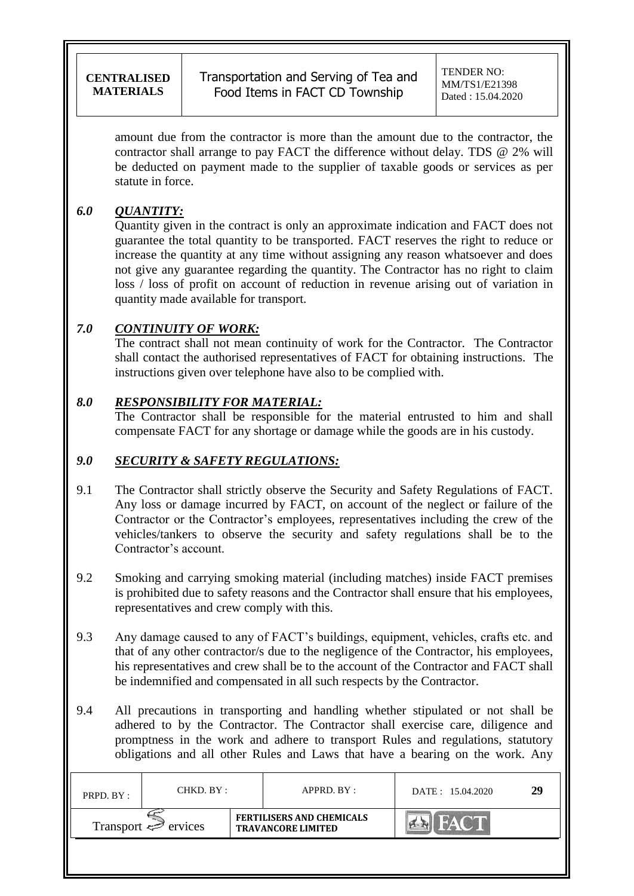Transportation and Serving of Tea and Food Items in FACT CD Township

amount due from the contractor is more than the amount due to the contractor, the contractor shall arrange to pay FACT the difference without delay. TDS @ 2% will be deducted on payment made to the supplier of taxable goods or services as per statute in force.

## *6.0 QUANTITY:*

Quantity given in the contract is only an approximate indication and FACT does not guarantee the total quantity to be transported. FACT reserves the right to reduce or increase the quantity at any time without assigning any reason whatsoever and does not give any guarantee regarding the quantity. The Contractor has no right to claim loss / loss of profit on account of reduction in revenue arising out of variation in quantity made available for transport.

## *7.0 CONTINUITY OF WORK:*

The contract shall not mean continuity of work for the Contractor. The Contractor shall contact the authorised representatives of FACT for obtaining instructions. The instructions given over telephone have also to be complied with.

## *8.0 RESPONSIBILITY FOR MATERIAL:*

The Contractor shall be responsible for the material entrusted to him and shall compensate FACT for any shortage or damage while the goods are in his custody.

## *9.0 SECURITY & SAFETY REGULATIONS:*

- 9.1 The Contractor shall strictly observe the Security and Safety Regulations of FACT. Any loss or damage incurred by FACT, on account of the neglect or failure of the Contractor or the Contractor's employees, representatives including the crew of the vehicles/tankers to observe the security and safety regulations shall be to the Contractor"s account.
- 9.2 Smoking and carrying smoking material (including matches) inside FACT premises is prohibited due to safety reasons and the Contractor shall ensure that his employees, representatives and crew comply with this.
- 9.3 Any damage caused to any of FACT"s buildings, equipment, vehicles, crafts etc. and that of any other contractor/s due to the negligence of the Contractor, his employees, his representatives and crew shall be to the account of the Contractor and FACT shall be indemnified and compensated in all such respects by the Contractor.
- 9.4 All precautions in transporting and handling whether stipulated or not shall be adhered to by the Contractor. The Contractor shall exercise care, diligence and promptness in the work and adhere to transport Rules and regulations, statutory obligations and all other Rules and Laws that have a bearing on the work. Any

| PRPD. BY:                           | CHKD. BY : |  | APPRD. BY:                                                    | DATE: 15.04.2020 | 29 |
|-------------------------------------|------------|--|---------------------------------------------------------------|------------------|----|
| Transport $\Leftrightarrow$ ervices |            |  | <b>FERTILISERS AND CHEMICALS</b><br><b>TRAVANCORE LIMITED</b> |                  |    |
|                                     |            |  |                                                               |                  |    |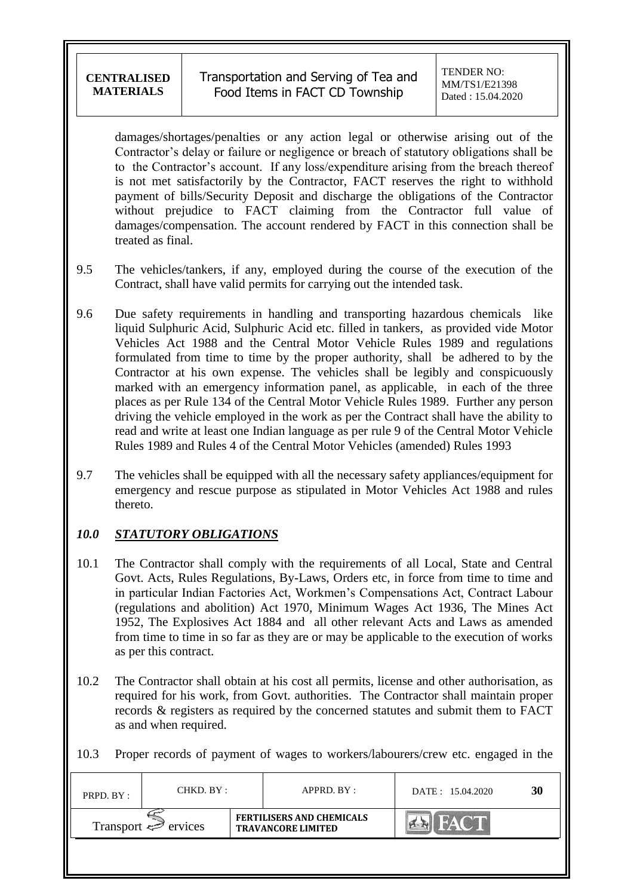damages/shortages/penalties or any action legal or otherwise arising out of the Contractor"s delay or failure or negligence or breach of statutory obligations shall be to the Contractor"s account. If any loss/expenditure arising from the breach thereof is not met satisfactorily by the Contractor, FACT reserves the right to withhold payment of bills/Security Deposit and discharge the obligations of the Contractor without prejudice to FACT claiming from the Contractor full value of damages/compensation. The account rendered by FACT in this connection shall be treated as final.

- 9.5 The vehicles/tankers, if any, employed during the course of the execution of the Contract, shall have valid permits for carrying out the intended task.
- 9.6 Due safety requirements in handling and transporting hazardous chemicals like liquid Sulphuric Acid, Sulphuric Acid etc. filled in tankers, as provided vide Motor Vehicles Act 1988 and the Central Motor Vehicle Rules 1989 and regulations formulated from time to time by the proper authority, shall be adhered to by the Contractor at his own expense. The vehicles shall be legibly and conspicuously marked with an emergency information panel, as applicable, in each of the three places as per Rule 134 of the Central Motor Vehicle Rules 1989. Further any person driving the vehicle employed in the work as per the Contract shall have the ability to read and write at least one Indian language as per rule 9 of the Central Motor Vehicle Rules 1989 and Rules 4 of the Central Motor Vehicles (amended) Rules 1993
- 9.7 The vehicles shall be equipped with all the necessary safety appliances/equipment for emergency and rescue purpose as stipulated in Motor Vehicles Act 1988 and rules thereto.

# *10.0 STATUTORY OBLIGATIONS*

- 10.1 The Contractor shall comply with the requirements of all Local, State and Central Govt. Acts, Rules Regulations, By-Laws, Orders etc, in force from time to time and in particular Indian Factories Act, Workmen"s Compensations Act, Contract Labour (regulations and abolition) Act 1970, Minimum Wages Act 1936, The Mines Act 1952, The Explosives Act 1884 and all other relevant Acts and Laws as amended from time to time in so far as they are or may be applicable to the execution of works as per this contract.
- 10.2 The Contractor shall obtain at his cost all permits, license and other authorisation, as required for his work, from Govt. authorities. The Contractor shall maintain proper records & registers as required by the concerned statutes and submit them to FACT as and when required.
- 10.3 Proper records of payment of wages to workers/labourers/crew etc. engaged in the

| PRPD. BY :                          | CHKD. BY : |                                                               | APPRD. BY : | DATE: 15.04.2020 | 30 |
|-------------------------------------|------------|---------------------------------------------------------------|-------------|------------------|----|
| Transport $\Leftrightarrow$ ervices |            | <b>FERTILISERS AND CHEMICALS</b><br><b>TRAVANCORE LIMITED</b> |             | FAC II           |    |
|                                     |            |                                                               |             |                  |    |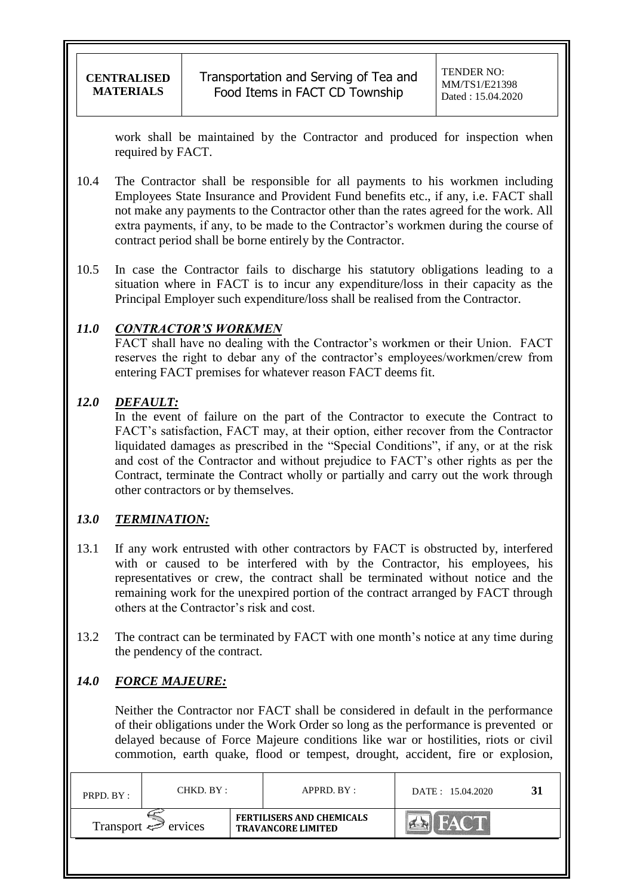work shall be maintained by the Contractor and produced for inspection when required by FACT.

- 10.4 The Contractor shall be responsible for all payments to his workmen including Employees State Insurance and Provident Fund benefits etc., if any, i.e. FACT shall not make any payments to the Contractor other than the rates agreed for the work. All extra payments, if any, to be made to the Contractor's workmen during the course of contract period shall be borne entirely by the Contractor.
- 10.5 In case the Contractor fails to discharge his statutory obligations leading to a situation where in FACT is to incur any expenditure/loss in their capacity as the Principal Employer such expenditure/loss shall be realised from the Contractor.

## *11.0 CONTRACTOR'S WORKMEN*

FACT shall have no dealing with the Contractor's workmen or their Union. FACT reserves the right to debar any of the contractor's employees/workmen/crew from entering FACT premises for whatever reason FACT deems fit.

## *12.0 DEFAULT:*

In the event of failure on the part of the Contractor to execute the Contract to FACT"s satisfaction, FACT may, at their option, either recover from the Contractor liquidated damages as prescribed in the "Special Conditions", if any, or at the risk and cost of the Contractor and without prejudice to FACT"s other rights as per the Contract, terminate the Contract wholly or partially and carry out the work through other contractors or by themselves.

## *13.0 TERMINATION:*

- 13.1 If any work entrusted with other contractors by FACT is obstructed by, interfered with or caused to be interfered with by the Contractor, his employees, his representatives or crew, the contract shall be terminated without notice and the remaining work for the unexpired portion of the contract arranged by FACT through others at the Contractor"s risk and cost.
- 13.2 The contract can be terminated by FACT with one month's notice at any time during the pendency of the contract.

# *14.0 FORCE MAJEURE:*

Neither the Contractor nor FACT shall be considered in default in the performance of their obligations under the Work Order so long as the performance is prevented or delayed because of Force Majeure conditions like war or hostilities, riots or civil commotion, earth quake, flood or tempest, drought, accident, fire or explosion,

| PRPD. BY:                      | CHKD. BY : |                                                               | APPRD. BY: | DATE: 15.04.2020 |  |
|--------------------------------|------------|---------------------------------------------------------------|------------|------------------|--|
| Transport $\Leftarrow$ ervices |            | <b>FERTILISERS AND CHEMICALS</b><br><b>TRAVANCORE LIMITED</b> |            |                  |  |
|                                |            |                                                               |            |                  |  |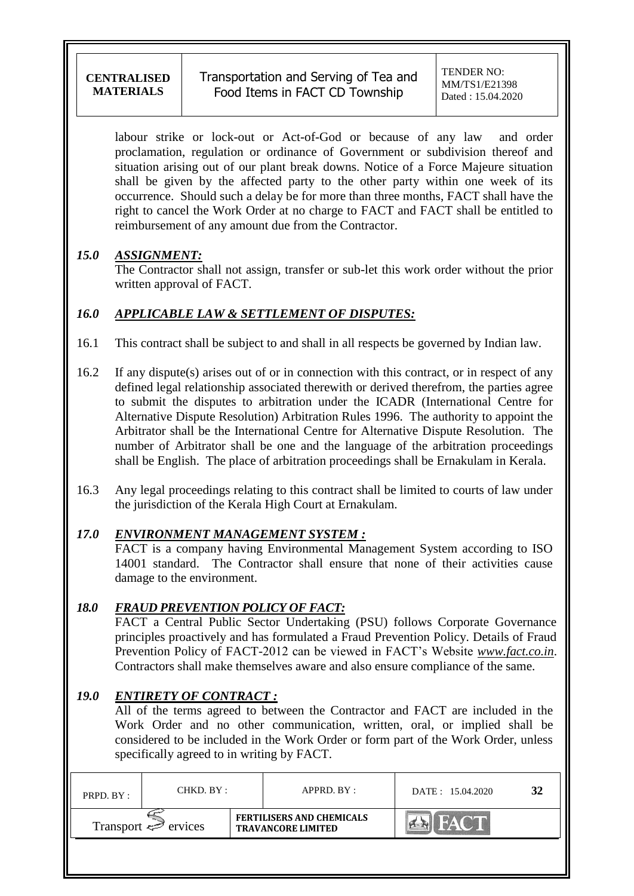labour strike or lock-out or Act-of-God or because of any law and order proclamation, regulation or ordinance of Government or subdivision thereof and situation arising out of our plant break downs. Notice of a Force Majeure situation shall be given by the affected party to the other party within one week of its occurrence. Should such a delay be for more than three months, FACT shall have the right to cancel the Work Order at no charge to FACT and FACT shall be entitled to reimbursement of any amount due from the Contractor.

## *15.0 ASSIGNMENT:*

The Contractor shall not assign, transfer or sub-let this work order without the prior written approval of FACT.

## *16.0 APPLICABLE LAW & SETTLEMENT OF DISPUTES:*

- 16.1 This contract shall be subject to and shall in all respects be governed by Indian law.
- 16.2 If any dispute(s) arises out of or in connection with this contract, or in respect of any defined legal relationship associated therewith or derived therefrom, the parties agree to submit the disputes to arbitration under the ICADR (International Centre for Alternative Dispute Resolution) Arbitration Rules 1996. The authority to appoint the Arbitrator shall be the International Centre for Alternative Dispute Resolution. The number of Arbitrator shall be one and the language of the arbitration proceedings shall be English. The place of arbitration proceedings shall be Ernakulam in Kerala.
- 16.3 Any legal proceedings relating to this contract shall be limited to courts of law under the jurisdiction of the Kerala High Court at Ernakulam.

## *17.0 ENVIRONMENT MANAGEMENT SYSTEM :*

FACT is a company having Environmental Management System according to ISO 14001 standard. The Contractor shall ensure that none of their activities cause damage to the environment.

## *18.0 FRAUD PREVENTION POLICY OF FACT:*

FACT a Central Public Sector Undertaking (PSU) follows Corporate Governance principles proactively and has formulated a Fraud Prevention Policy. Details of Fraud Prevention Policy of FACT-2012 can be viewed in FACT"s Website *[www.fact.co.in](http://www.fact.co.in/)*. Contractors shall make themselves aware and also ensure compliance of the same.

# *19.0 ENTIRETY OF CONTRACT :*

All of the terms agreed to between the Contractor and FACT are included in the Work Order and no other communication, written, oral, or implied shall be considered to be included in the Work Order or form part of the Work Order, unless specifically agreed to in writing by FACT.

| PRPD. BY:                | CHKD. BY : |  | APPRD. BY:                                                    | DATE: 15.04.2020 | 32 |
|--------------------------|------------|--|---------------------------------------------------------------|------------------|----|
| Transport $\iff$ ervices |            |  | <b>FERTILISERS AND CHEMICALS</b><br><b>TRAVANCORE LIMITED</b> |                  |    |
|                          |            |  |                                                               |                  |    |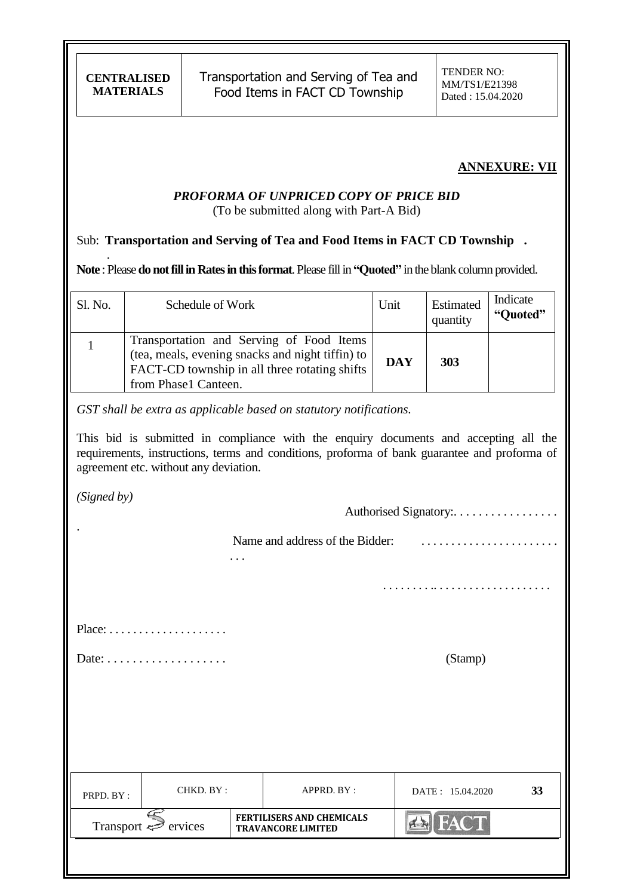### **ANNEXURE: VII**

#### *PROFORMA OF UNPRICED COPY OF PRICE BID* (To be submitted along with Part-A Bid)

#### Sub: **Transportation and Serving of Tea and Food Items in FACT CD Township .**

**Note** : Please **do not fill in Rates in this format**. Please fill in **"Quoted"** in the blank column provided.

| Sl. No. | Schedule of Work                                                                                                                                                      | Unit       | Estimated<br>quantity | Indicate<br>"Quoted" |
|---------|-----------------------------------------------------------------------------------------------------------------------------------------------------------------------|------------|-----------------------|----------------------|
|         | Transportation and Serving of Food Items<br>(tea, meals, evening snacks and night tiffin) to<br>FACT-CD township in all three rotating shifts<br>from Phase1 Canteen. | <b>DAY</b> | 303                   |                      |

*GST shall be extra as applicable based on statutory notifications.*

. . .

This bid is submitted in compliance with the enquiry documents and accepting all the requirements, instructions, terms and conditions, proforma of bank guarantee and proforma of agreement etc. without any deviation.

*(Signed by)*

.

.

Authorised Signatory: . . . . . . . . . . . . . . . . .

Name and address of the Bidder: . . . . . . . . . . . . . . . . . . . . . . .

Place: . . . . . . . . . . . . . . . . . . . .

 $Date: \ldots \ldots \ldots \ldots \ldots$  (Stamp)

. . . . . . . . .. . . . . . . . . . . . . . . . . . . .

| PRPD. BY:                | CHKD. BY: |                                                               | APPRD. BY: | DATE: 15.04.2020 | 33 |
|--------------------------|-----------|---------------------------------------------------------------|------------|------------------|----|
| Transport $\iff$ ervices |           | <b>FERTILISERS AND CHEMICALS</b><br><b>TRAVANCORE LIMITED</b> |            | <b>FACT</b>      |    |
|                          |           |                                                               |            |                  |    |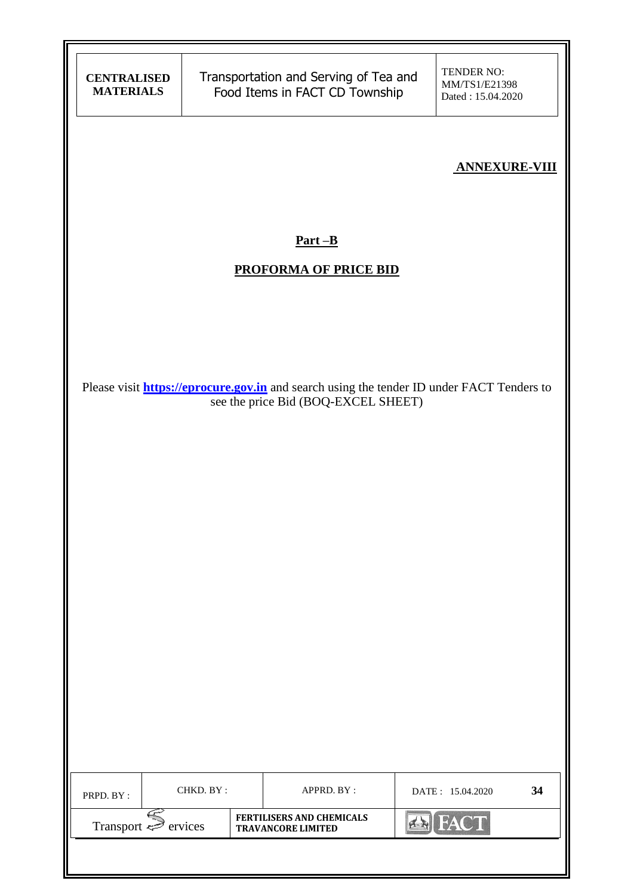| <b>CENTRALISED</b><br><b>MATERIALS</b>                                                                                                  |           | Transportation and Serving of Tea and<br>Food Items in FACT CD Township |  | TENDER NO:<br>MM/TS1/E21398<br>Dated: 15.04.2020 |    |  |  |  |
|-----------------------------------------------------------------------------------------------------------------------------------------|-----------|-------------------------------------------------------------------------|--|--------------------------------------------------|----|--|--|--|
|                                                                                                                                         |           |                                                                         |  | <b>ANNEXURE-VIII</b>                             |    |  |  |  |
| $Part - B$<br><b>PROFORMA OF PRICE BID</b>                                                                                              |           |                                                                         |  |                                                  |    |  |  |  |
| Please visit <b>https://eprocure.gov.in</b> and search using the tender ID under FACT Tenders to<br>see the price Bid (BOQ-EXCEL SHEET) |           |                                                                         |  |                                                  |    |  |  |  |
|                                                                                                                                         |           |                                                                         |  |                                                  |    |  |  |  |
|                                                                                                                                         |           |                                                                         |  |                                                  |    |  |  |  |
|                                                                                                                                         |           |                                                                         |  |                                                  |    |  |  |  |
| PRPD. BY:                                                                                                                               | CHKD. BY: | APPRD. BY :                                                             |  | DATE: 15.04.2020                                 | 34 |  |  |  |
| Transport $\widehat{\geq}$ ervices                                                                                                      |           | <b>FERTILISERS AND CHEMICALS</b><br><b>TRAVANCORE LIMITED</b>           |  | <b>B</b> FACT                                    |    |  |  |  |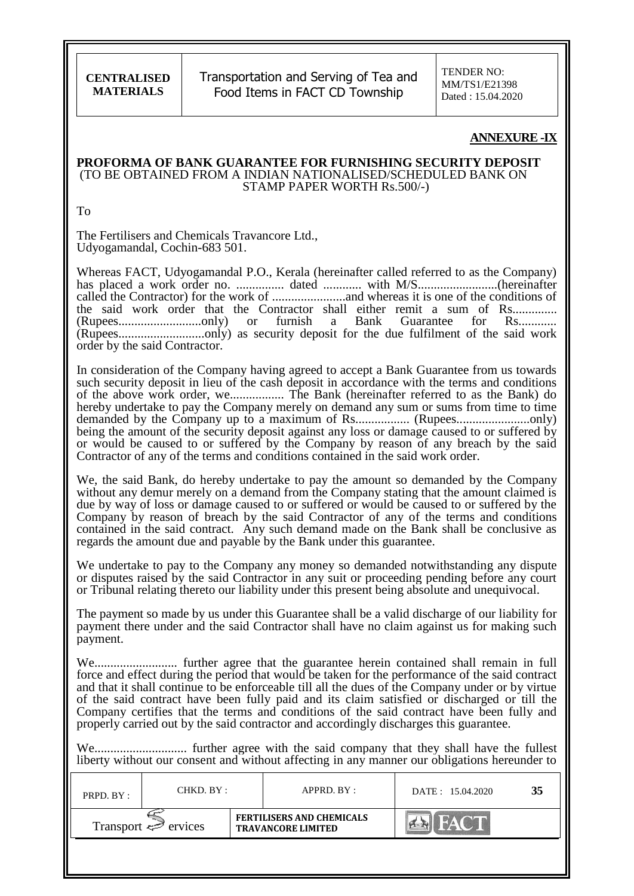Transportation and Serving of Tea and Food Items in FACT CD Township

TENDER NO: MM/TS1/E21398 Dated : 15.04.2020

#### **ANNEXURE-IX**

#### **PROFORMA OF BANK GUARANTEE FOR FURNISHING SECURITY DEPOSIT** (TO BE OBTAINED FROM A INDIAN NATIONALISED/SCHEDULED BANK ON STAMP PAPER WORTH Rs.500/-)

To

The Fertilisers and Chemicals Travancore Ltd., Udyogamandal, Cochin-683 501.

Whereas FACT, Udyogamandal P.O., Kerala (hereinafter called referred to as the Company) has placed a work order no. ............... dated ............ with M/S.........................(hereinafter called the Contractor) for the work of .......................and whereas it is one of the conditions of the said work order that the Contractor shall either remit a sum of Rs.............. (Rupees..........................only) or furnish a Bank Guarantee for Rs............ (Rupees...........................only) as security deposit for the due fulfilment of the said work order by the said Contractor.

In consideration of the Company having agreed to accept a Bank Guarantee from us towards such security deposit in lieu of the cash deposit in accordance with the terms and conditions of the above work order, we................. The Bank (hereinafter referred to as the Bank) do hereby undertake to pay the Company merely on demand any sum or sums from time to time demanded by the Company up to a maximum of Rs................. (Rupees.......................only) being the amount of the security deposit against any loss or damage caused to or suffered by or would be caused to or suffered by the Company by reason of any breach by the said Contractor of any of the terms and conditions contained in the said work order.

We, the said Bank, do hereby undertake to pay the amount so demanded by the Company without any demur merely on a demand from the Company stating that the amount claimed is due by way of loss or damage caused to or suffered or would be caused to or suffered by the Company by reason of breach by the said Contractor of any of the terms and conditions contained in the said contract. Any such demand made on the Bank shall be conclusive as regards the amount due and payable by the Bank under this guarantee.

We undertake to pay to the Company any money so demanded notwithstanding any dispute or disputes raised by the said Contractor in any suit or proceeding pending before any court or Tribunal relating thereto our liability under this present being absolute and unequivocal.

The payment so made by us under this Guarantee shall be a valid discharge of our liability for payment there under and the said Contractor shall have no claim against us for making such payment.

We.......................... further agree that the guarantee herein contained shall remain in full force and effect during the period that would be taken for the performance of the said contract and that it shall continue to be enforceable till all the dues of the Company under or by virtue of the said contract have been fully paid and its claim satisfied or discharged or till the Company certifies that the terms and conditions of the said contract have been fully and properly carried out by the said contractor and accordingly discharges this guarantee.

We............................. further agree with the said company that they shall have the fullest liberty without our consent and without affecting in any manner our obligations hereunder to

| PRPD. BY:                | CHKD. BY : |                                                               | APPRD. BY: | DATE: 15.04.2020 | 35 |
|--------------------------|------------|---------------------------------------------------------------|------------|------------------|----|
| Transport $\iff$ ervices |            | <b>FERTILISERS AND CHEMICALS</b><br><b>TRAVANCORE LIMITED</b> |            |                  |    |
|                          |            |                                                               |            |                  |    |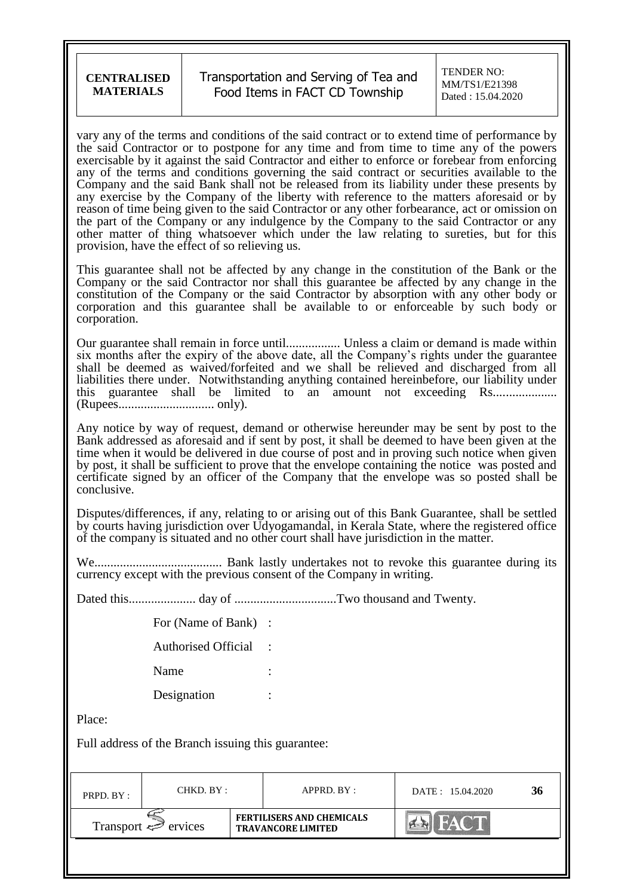#### Transportation and Serving of Tea and Food Items in FACT CD Township

vary any of the terms and conditions of the said contract or to extend time of performance by the said Contractor or to postpone for any time and from time to time any of the powers exercisable by it against the said Contractor and either to enforce or forebear from enforcing any of the terms and conditions governing the said contract or securities available to the Company and the said Bank shall not be released from its liability under these presents by any exercise by the Company of the liberty with reference to the matters aforesaid or by reason of time being given to the said Contractor or any other forbearance, act or omission on the part of the Company or any indulgence by the Company to the said Contractor or any other matter of thing whatsoever which under the law relating to sureties, but for this provision, have the effect of so relieving us.

This guarantee shall not be affected by any change in the constitution of the Bank or the Company or the said Contractor nor shall this guarantee be affected by any change in the constitution of the Company or the said Contractor by absorption with any other body or corporation and this guarantee shall be available to or enforceable by such body or corporation.

Our guarantee shall remain in force until................. Unless a claim or demand is made within six months after the expiry of the above date, all the Company"s rights under the guarantee shall be deemed as waived/forfeited and we shall be relieved and discharged from all liabilities there under. Notwithstanding anything contained hereinbefore, our liability under this guarantee shall be limited to an amount not exceeding Rs.................... (Rupees.............................. only).

Any notice by way of request, demand or otherwise hereunder may be sent by post to the Bank addressed as aforesaid and if sent by post, it shall be deemed to have been given at the time when it would be delivered in due course of post and in proving such notice when given by post, it shall be sufficient to prove that the envelope containing the notice was posted and certificate signed by an officer of the Company that the envelope was so posted shall be conclusive.

Disputes/differences, if any, relating to or arising out of this Bank Guarantee, shall be settled by courts having jurisdiction over Udyogamandal, in Kerala State, where the registered office of the company is situated and no other court shall have jurisdiction in the matter.

We........................................ Bank lastly undertakes not to revoke this guarantee during its currency except with the previous consent of the Company in writing.

Dated this..................... day of ................................Two thousand and Twenty.

| For (Name of Bank)         |  |
|----------------------------|--|
| <b>Authorised Official</b> |  |
| Name                       |  |
| Designation                |  |

Place:

Full address of the Branch issuing this guarantee:

| PRPD. BY:                           | CHKD. BY : |                                                               | APPRD. BY: | DATE: 15.04.2020          | 36 |
|-------------------------------------|------------|---------------------------------------------------------------|------------|---------------------------|----|
| Transport $\Leftrightarrow$ ervices |            | <b>FERTILISERS AND CHEMICALS</b><br><b>TRAVANCORE LIMITED</b> |            | $\mathbb{C}$ $\mathbb{F}$ |    |
|                                     |            |                                                               |            |                           |    |